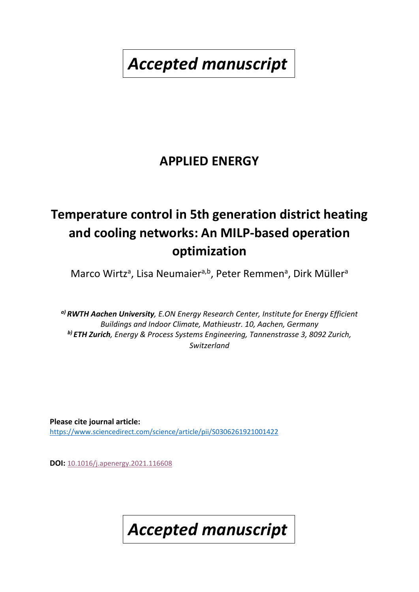*Accepted manuscript*

# **APPLIED ENERGY**

# **Temperature control in 5th generation district heating and cooling networks: An MILP-based operation optimization**

Marco Wirtz<sup>a</sup>, Lisa Neumaier<sup>a,b</sup>, Peter Remmen<sup>a</sup>, Dirk Müller<sup>a</sup>

*a) RWTH Aachen University, E.ON Energy Research Center, Institute for Energy Efficient Buildings and Indoor Climate, Mathieustr. 10, Aachen, Germany b) ETH Zurich, Energy & Process Systems Engineering, Tannenstrasse 3, 8092 Zurich, Switzerland*

**Please cite journal article:** <https://www.sciencedirect.com/science/article/pii/S0306261921001422>

**DOI:** [10.1016/j.apenergy.2021.116608](https://doi.org/10.1016/j.apenergy.2021.116608)

*Accepted manuscript*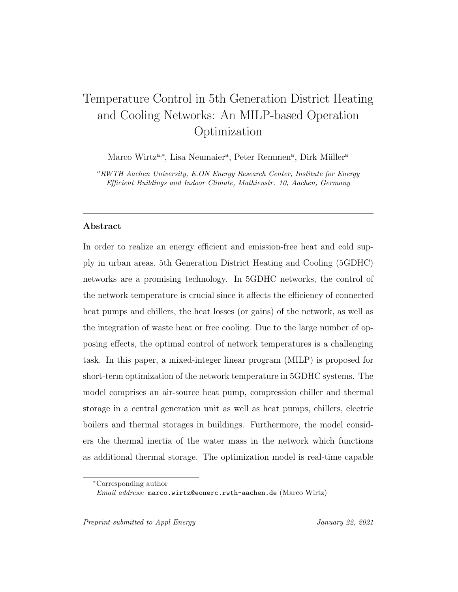## Temperature Control in 5th Generation District Heating and Cooling Networks: An MILP-based Operation Optimization

Marco Wirtz<sup>a,\*</sup>, Lisa Neumaier<sup>a</sup>, Peter Remmen<sup>a</sup>, Dirk Müller<sup>a</sup>

<sup>a</sup>RWTH Aachen University, E.ON Energy Research Center, Institute for Energy Efficient Buildings and Indoor Climate, Mathieustr. 10, Aachen, Germany

#### Abstract

In order to realize an energy efficient and emission-free heat and cold supply in urban areas, 5th Generation District Heating and Cooling (5GDHC) networks are a promising technology. In 5GDHC networks, the control of the network temperature is crucial since it affects the efficiency of connected heat pumps and chillers, the heat losses (or gains) of the network, as well as the integration of waste heat or free cooling. Due to the large number of opposing effects, the optimal control of network temperatures is a challenging task. In this paper, a mixed-integer linear program (MILP) is proposed for short-term optimization of the network temperature in 5GDHC systems. The model comprises an air-source heat pump, compression chiller and thermal storage in a central generation unit as well as heat pumps, chillers, electric boilers and thermal storages in buildings. Furthermore, the model considers the thermal inertia of the water mass in the network which functions as additional thermal storage. The optimization model is real-time capable

Preprint submitted to Appl Energy January 22, 2021

<sup>∗</sup>Corresponding author

Email address: marco.wirtz@eonerc.rwth-aachen.de (Marco Wirtz)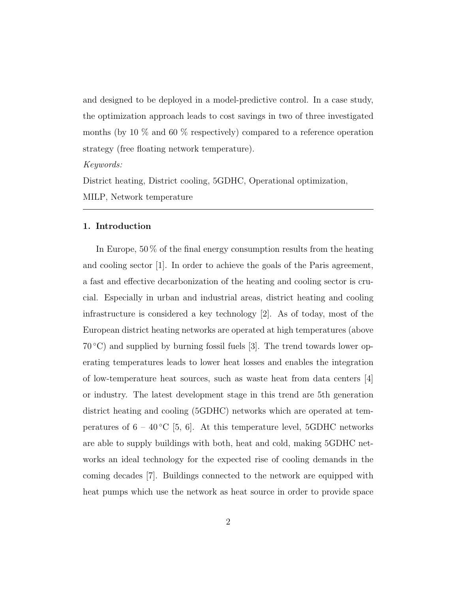and designed to be deployed in a model-predictive control. In a case study, the optimization approach leads to cost savings in two of three investigated months (by 10 % and 60 % respectively) compared to a reference operation strategy (free floating network temperature).

Keywords:

District heating, District cooling, 5GDHC, Operational optimization,

MILP, Network temperature

#### 1. Introduction

In Europe, 50 % of the final energy consumption results from the heating and cooling sector [1]. In order to achieve the goals of the Paris agreement, a fast and effective decarbonization of the heating and cooling sector is crucial. Especially in urban and industrial areas, district heating and cooling infrastructure is considered a key technology [2]. As of today, most of the European district heating networks are operated at high temperatures (above  $70\degree\text{C}$ ) and supplied by burning fossil fuels [3]. The trend towards lower operating temperatures leads to lower heat losses and enables the integration of low-temperature heat sources, such as waste heat from data centers [4] or industry. The latest development stage in this trend are 5th generation district heating and cooling (5GDHC) networks which are operated at temperatures of  $6 - 40\,^{\circ}\mathrm{C}$  [5, 6]. At this temperature level, 5GDHC networks are able to supply buildings with both, heat and cold, making 5GDHC networks an ideal technology for the expected rise of cooling demands in the coming decades [7]. Buildings connected to the network are equipped with heat pumps which use the network as heat source in order to provide space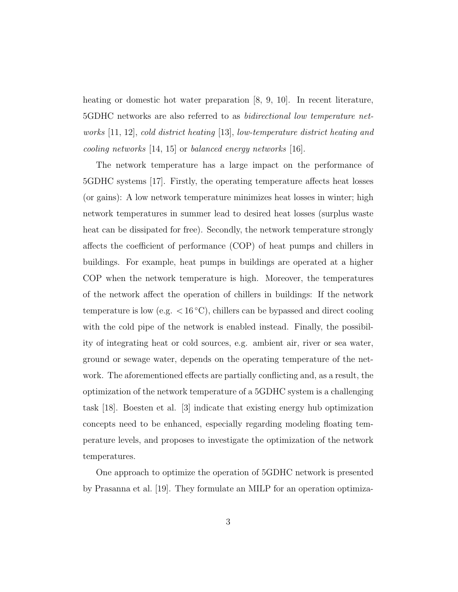heating or domestic hot water preparation [8, 9, 10]. In recent literature, 5GDHC networks are also referred to as bidirectional low temperature networks [11, 12], cold district heating [13], low-temperature district heating and cooling networks [14, 15] or balanced energy networks [16].

The network temperature has a large impact on the performance of 5GDHC systems [17]. Firstly, the operating temperature affects heat losses (or gains): A low network temperature minimizes heat losses in winter; high network temperatures in summer lead to desired heat losses (surplus waste heat can be dissipated for free). Secondly, the network temperature strongly affects the coefficient of performance (COP) of heat pumps and chillers in buildings. For example, heat pumps in buildings are operated at a higher COP when the network temperature is high. Moreover, the temperatures of the network affect the operation of chillers in buildings: If the network temperature is low (e.g.  $< 16 °C$ ), chillers can be bypassed and direct cooling with the cold pipe of the network is enabled instead. Finally, the possibility of integrating heat or cold sources, e.g. ambient air, river or sea water, ground or sewage water, depends on the operating temperature of the network. The aforementioned effects are partially conflicting and, as a result, the optimization of the network temperature of a 5GDHC system is a challenging task [18]. Boesten et al. [3] indicate that existing energy hub optimization concepts need to be enhanced, especially regarding modeling floating temperature levels, and proposes to investigate the optimization of the network temperatures.

One approach to optimize the operation of 5GDHC network is presented by Prasanna et al. [19]. They formulate an MILP for an operation optimiza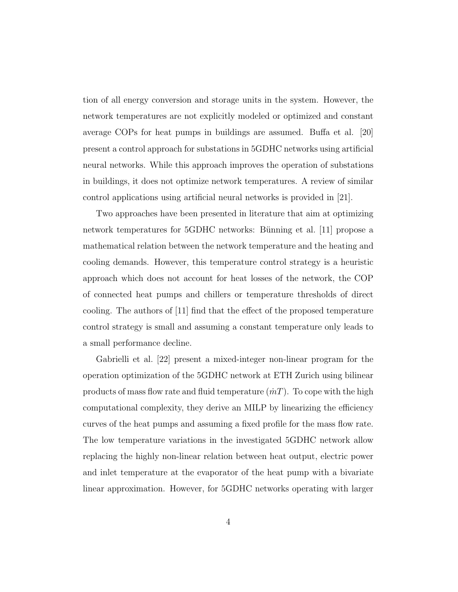tion of all energy conversion and storage units in the system. However, the network temperatures are not explicitly modeled or optimized and constant average COPs for heat pumps in buildings are assumed. Buffa et al. [20] present a control approach for substations in 5GDHC networks using artificial neural networks. While this approach improves the operation of substations in buildings, it does not optimize network temperatures. A review of similar control applications using artificial neural networks is provided in [21].

Two approaches have been presented in literature that aim at optimizing network temperatures for 5GDHC networks: Bünning et al. [11] propose a mathematical relation between the network temperature and the heating and cooling demands. However, this temperature control strategy is a heuristic approach which does not account for heat losses of the network, the COP of connected heat pumps and chillers or temperature thresholds of direct cooling. The authors of [11] find that the effect of the proposed temperature control strategy is small and assuming a constant temperature only leads to a small performance decline.

Gabrielli et al. [22] present a mixed-integer non-linear program for the operation optimization of the 5GDHC network at ETH Zurich using bilinear products of mass flow rate and fluid temperature  $(mT)$ . To cope with the high computational complexity, they derive an MILP by linearizing the efficiency curves of the heat pumps and assuming a fixed profile for the mass flow rate. The low temperature variations in the investigated 5GDHC network allow replacing the highly non-linear relation between heat output, electric power and inlet temperature at the evaporator of the heat pump with a bivariate linear approximation. However, for 5GDHC networks operating with larger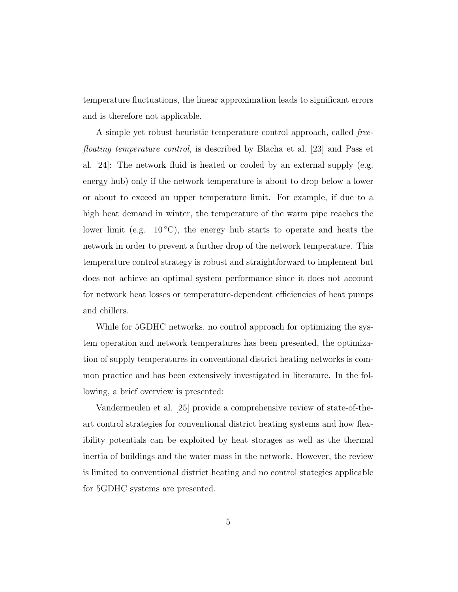temperature fluctuations, the linear approximation leads to significant errors and is therefore not applicable.

A simple yet robust heuristic temperature control approach, called freefloating temperature control, is described by Blacha et al. [23] and Pass et al.  $[24]$ : The network fluid is heated or cooled by an external supply (e.g. energy hub) only if the network temperature is about to drop below a lower or about to exceed an upper temperature limit. For example, if due to a high heat demand in winter, the temperature of the warm pipe reaches the lower limit (e.g.  $10\degree C$ ), the energy hub starts to operate and heats the network in order to prevent a further drop of the network temperature. This temperature control strategy is robust and straightforward to implement but does not achieve an optimal system performance since it does not account for network heat losses or temperature-dependent efficiencies of heat pumps and chillers.

While for 5GDHC networks, no control approach for optimizing the system operation and network temperatures has been presented, the optimization of supply temperatures in conventional district heating networks is common practice and has been extensively investigated in literature. In the following, a brief overview is presented:

Vandermeulen et al. [25] provide a comprehensive review of state-of-theart control strategies for conventional district heating systems and how flexibility potentials can be exploited by heat storages as well as the thermal inertia of buildings and the water mass in the network. However, the review is limited to conventional district heating and no control stategies applicable for 5GDHC systems are presented.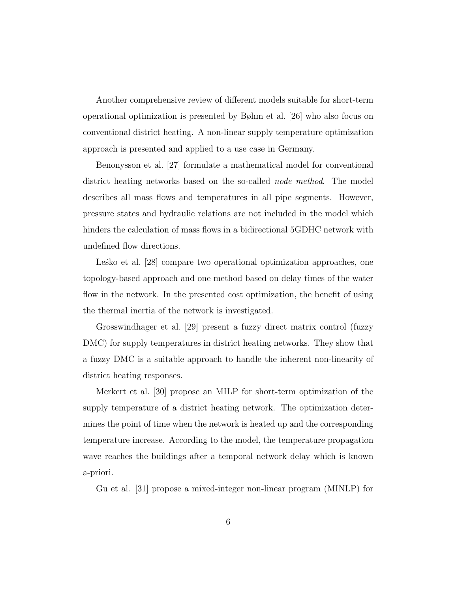Another comprehensive review of different models suitable for short-term operational optimization is presented by Bøhm et al. [26] who also focus on conventional district heating. A non-linear supply temperature optimization approach is presented and applied to a use case in Germany.

Benonysson et al. [27] formulate a mathematical model for conventional district heating networks based on the so-called *node method*. The model describes all mass flows and temperatures in all pipe segments. However, pressure states and hydraulic relations are not included in the model which hinders the calculation of mass flows in a bidirectional 5GDHC network with undefined flow directions.

Lesko et al. [28] compare two operational optimization approaches, one topology-based approach and one method based on delay times of the water flow in the network. In the presented cost optimization, the benefit of using the thermal inertia of the network is investigated.

Grosswindhager et al. [29] present a fuzzy direct matrix control (fuzzy DMC) for supply temperatures in district heating networks. They show that a fuzzy DMC is a suitable approach to handle the inherent non-linearity of district heating responses.

Merkert et al. [30] propose an MILP for short-term optimization of the supply temperature of a district heating network. The optimization determines the point of time when the network is heated up and the corresponding temperature increase. According to the model, the temperature propagation wave reaches the buildings after a temporal network delay which is known a-priori.

Gu et al. [31] propose a mixed-integer non-linear program (MINLP) for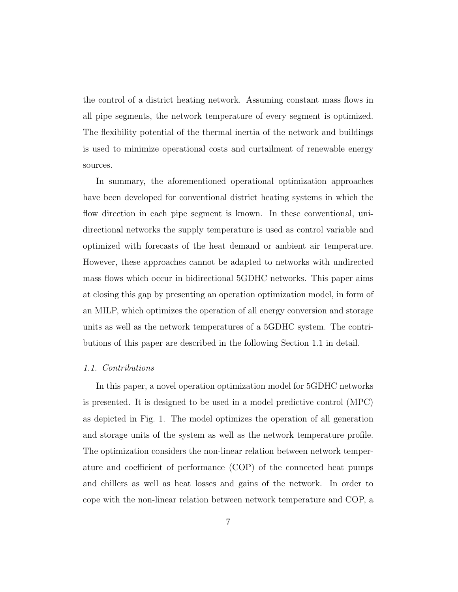the control of a district heating network. Assuming constant mass flows in all pipe segments, the network temperature of every segment is optimized. The flexibility potential of the thermal inertia of the network and buildings is used to minimize operational costs and curtailment of renewable energy sources.

In summary, the aforementioned operational optimization approaches have been developed for conventional district heating systems in which the flow direction in each pipe segment is known. In these conventional, unidirectional networks the supply temperature is used as control variable and optimized with forecasts of the heat demand or ambient air temperature. However, these approaches cannot be adapted to networks with undirected mass flows which occur in bidirectional 5GDHC networks. This paper aims at closing this gap by presenting an operation optimization model, in form of an MILP, which optimizes the operation of all energy conversion and storage units as well as the network temperatures of a 5GDHC system. The contributions of this paper are described in the following Section 1.1 in detail.

#### 1.1. Contributions

In this paper, a novel operation optimization model for 5GDHC networks is presented. It is designed to be used in a model predictive control (MPC) as depicted in Fig. 1. The model optimizes the operation of all generation and storage units of the system as well as the network temperature profile. The optimization considers the non-linear relation between network temperature and coefficient of performance (COP) of the connected heat pumps and chillers as well as heat losses and gains of the network. In order to cope with the non-linear relation between network temperature and COP, a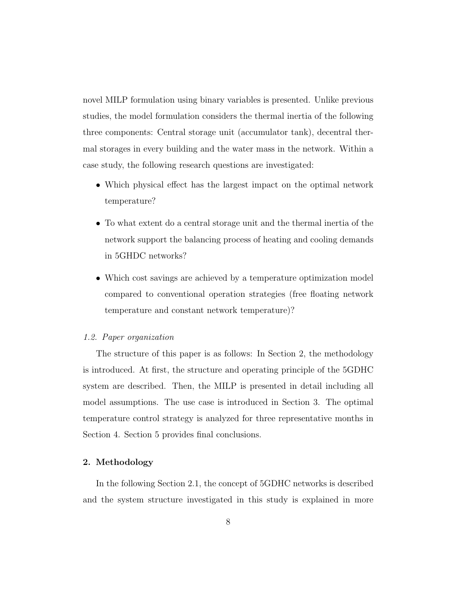novel MILP formulation using binary variables is presented. Unlike previous studies, the model formulation considers the thermal inertia of the following three components: Central storage unit (accumulator tank), decentral thermal storages in every building and the water mass in the network. Within a case study, the following research questions are investigated:

- Which physical effect has the largest impact on the optimal network temperature?
- To what extent do a central storage unit and the thermal inertia of the network support the balancing process of heating and cooling demands in 5GHDC networks?
- Which cost savings are achieved by a temperature optimization model compared to conventional operation strategies (free floating network temperature and constant network temperature)?

#### 1.2. Paper organization

The structure of this paper is as follows: In Section 2, the methodology is introduced. At first, the structure and operating principle of the 5GDHC system are described. Then, the MILP is presented in detail including all model assumptions. The use case is introduced in Section 3. The optimal temperature control strategy is analyzed for three representative months in Section 4. Section 5 provides final conclusions.

#### 2. Methodology

In the following Section 2.1, the concept of 5GDHC networks is described and the system structure investigated in this study is explained in more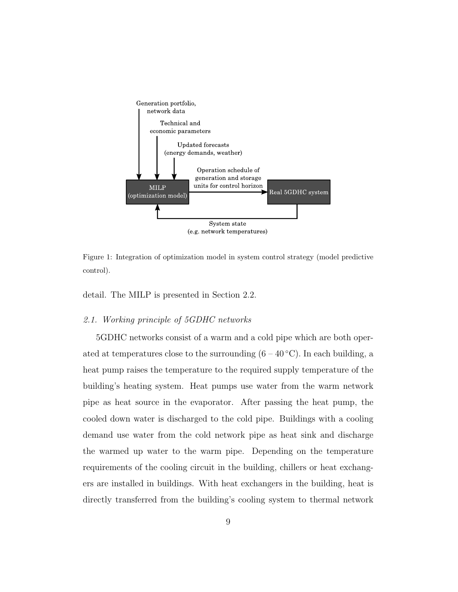

Figure 1: Integration of optimization model in system control strategy (model predictive control).

detail. The MILP is presented in Section 2.2.

#### 2.1. Working principle of 5GDHC networks

5GDHC networks consist of a warm and a cold pipe which are both operated at temperatures close to the surrounding  $(6-40\degree C)$ . In each building, a heat pump raises the temperature to the required supply temperature of the building's heating system. Heat pumps use water from the warm network pipe as heat source in the evaporator. After passing the heat pump, the cooled down water is discharged to the cold pipe. Buildings with a cooling demand use water from the cold network pipe as heat sink and discharge the warmed up water to the warm pipe. Depending on the temperature requirements of the cooling circuit in the building, chillers or heat exchangers are installed in buildings. With heat exchangers in the building, heat is directly transferred from the building's cooling system to thermal network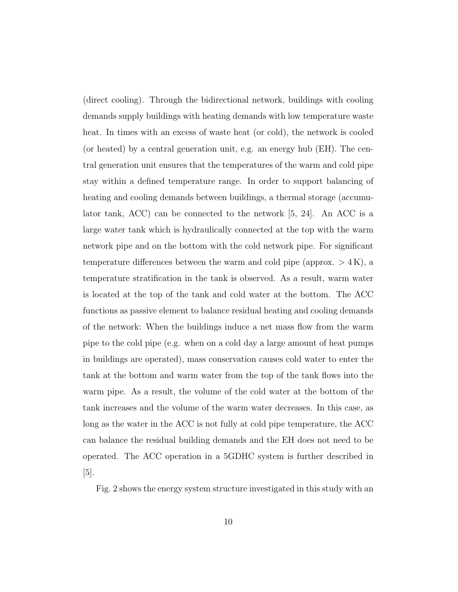(direct cooling). Through the bidirectional network, buildings with cooling demands supply buildings with heating demands with low temperature waste heat. In times with an excess of waste heat (or cold), the network is cooled (or heated) by a central generation unit, e.g. an energy hub (EH). The central generation unit ensures that the temperatures of the warm and cold pipe stay within a defined temperature range. In order to support balancing of heating and cooling demands between buildings, a thermal storage (accumulator tank,  $ACC$ ) can be connected to the network [5, 24]. An ACC is a large water tank which is hydraulically connected at the top with the warm network pipe and on the bottom with the cold network pipe. For significant temperature differences between the warm and cold pipe (approx.  $> 4 \,\mathrm{K}$ ), a temperature stratification in the tank is observed. As a result, warm water is located at the top of the tank and cold water at the bottom. The ACC functions as passive element to balance residual heating and cooling demands of the network: When the buildings induce a net mass flow from the warm pipe to the cold pipe (e.g. when on a cold day a large amount of heat pumps in buildings are operated), mass conservation causes cold water to enter the tank at the bottom and warm water from the top of the tank flows into the warm pipe. As a result, the volume of the cold water at the bottom of the tank increases and the volume of the warm water decreases. In this case, as long as the water in the ACC is not fully at cold pipe temperature, the ACC can balance the residual building demands and the EH does not need to be operated. The ACC operation in a 5GDHC system is further described in [5].

Fig. 2 shows the energy system structure investigated in this study with an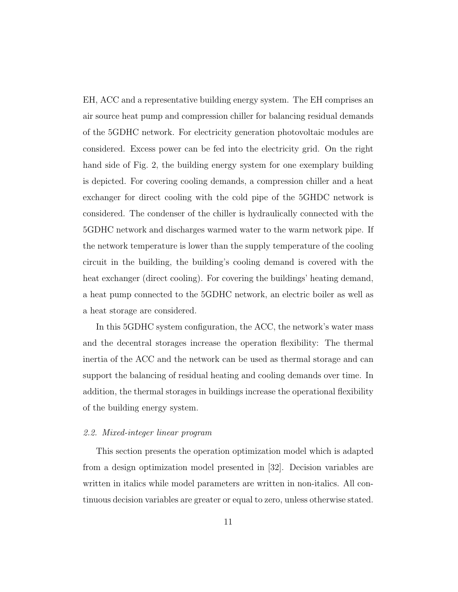EH, ACC and a representative building energy system. The EH comprises an air source heat pump and compression chiller for balancing residual demands of the 5GDHC network. For electricity generation photovoltaic modules are considered. Excess power can be fed into the electricity grid. On the right hand side of Fig. 2, the building energy system for one exemplary building is depicted. For covering cooling demands, a compression chiller and a heat exchanger for direct cooling with the cold pipe of the 5GHDC network is considered. The condenser of the chiller is hydraulically connected with the 5GDHC network and discharges warmed water to the warm network pipe. If the network temperature is lower than the supply temperature of the cooling circuit in the building, the building's cooling demand is covered with the heat exchanger (direct cooling). For covering the buildings' heating demand, a heat pump connected to the 5GDHC network, an electric boiler as well as a heat storage are considered.

In this 5GDHC system configuration, the ACC, the network's water mass and the decentral storages increase the operation flexibility: The thermal inertia of the ACC and the network can be used as thermal storage and can support the balancing of residual heating and cooling demands over time. In addition, the thermal storages in buildings increase the operational flexibility of the building energy system.

#### 2.2. Mixed-integer linear program

This section presents the operation optimization model which is adapted from a design optimization model presented in [32]. Decision variables are written in italics while model parameters are written in non-italics. All continuous decision variables are greater or equal to zero, unless otherwise stated.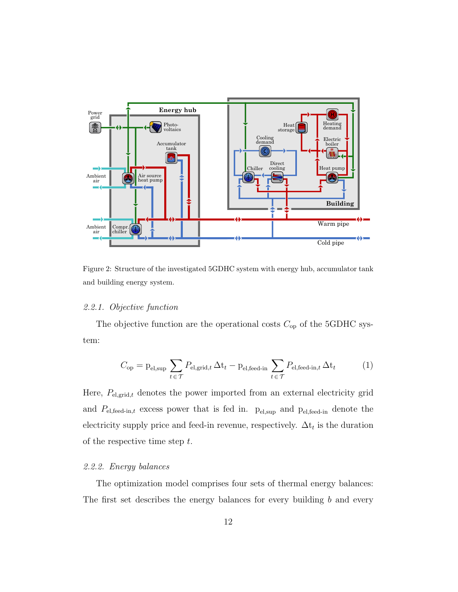

Figure 2: Structure of the investigated 5GDHC system with energy hub, accumulator tank and building energy system.

#### 2.2.1. Objective function

The objective function are the operational costs  $C_{op}$  of the 5GDHC system:

$$
C_{\rm op} = \mathbf{p}_{\rm el, \rm sup} \sum_{t \in \mathcal{T}} P_{\rm el, \rm grid, t} \Delta t_t - \mathbf{p}_{\rm el, \rm feed-in} \sum_{t \in \mathcal{T}} P_{\rm el, \rm feed-in, t} \Delta t_t \tag{1}
$$

Here,  $P_{el,grid,t}$  denotes the power imported from an external electricity grid and  $P_{el,feed-in,t}$  excess power that is fed in.  $p_{el,sup}$  and  $p_{el,feed-in}$  denote the electricity supply price and feed-in revenue, respectively.  $\Delta t_t$  is the duration of the respective time step t.

#### 2.2.2. Energy balances

The optimization model comprises four sets of thermal energy balances: The first set describes the energy balances for every building  $b$  and every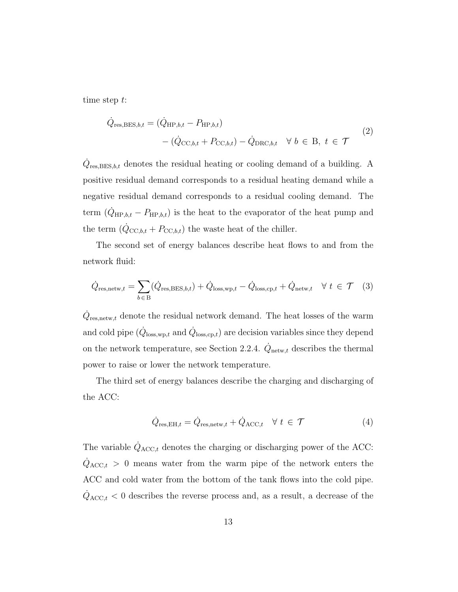time step t:

$$
\dot{Q}_{\text{res,BES},b,t} = (\dot{Q}_{\text{HP},b,t} - P_{\text{HP},b,t})
$$
\n
$$
-(\dot{Q}_{\text{CC},b,t} + P_{\text{CC},b,t}) - \dot{Q}_{\text{DRC},b,t} \quad \forall \ b \in \text{B}, \ t \in \mathcal{T}
$$
\n
$$
(2)
$$

 $\dot{Q}_{\text{res, BES},b,t}$  denotes the residual heating or cooling demand of a building. A positive residual demand corresponds to a residual heating demand while a negative residual demand corresponds to a residual cooling demand. The term  $(\dot{Q}_{HP,b,t} - P_{HP,b,t})$  is the heat to the evaporator of the heat pump and the term  $(\dot{Q}_{\text{CC},b,t} + P_{\text{CC},b,t})$  the waste heat of the chiller.

The second set of energy balances describe heat flows to and from the network fluid:

$$
\dot{Q}_{\text{res,netw},t} = \sum_{b \in B} (\dot{Q}_{\text{res,BES},b,t}) + \dot{Q}_{\text{loss,wp},t} - \dot{Q}_{\text{loss,cp},t} + \dot{Q}_{\text{netw},t} \quad \forall \ t \in \mathcal{T} \quad (3)
$$

 $\dot{Q}_{\text{res},\text{netw},t}$  denote the residual network demand. The heat losses of the warm and cold pipe  $(\dot{Q}_{loss, wp, t}$  and  $\dot{Q}_{loss, cp, t}$ ) are decision variables since they depend on the network temperature, see Section 2.2.4.  $\dot{Q}_{\text{network}}$  describes the thermal power to raise or lower the network temperature.

The third set of energy balances describe the charging and discharging of the ACC:

$$
\dot{Q}_{\text{res,EH},t} = \dot{Q}_{\text{res,netw},t} + \dot{Q}_{\text{ACC},t} \quad \forall \ t \in \mathcal{T} \tag{4}
$$

The variable  $\dot{Q}_{\text{ACC},t}$  denotes the charging or discharging power of the ACC:  $\dot{Q}_{\text{ACC},t} > 0$  means water from the warm pipe of the network enters the ACC and cold water from the bottom of the tank flows into the cold pipe.  $\dot{Q}_{\text{ACC},t}$  < 0 describes the reverse process and, as a result, a decrease of the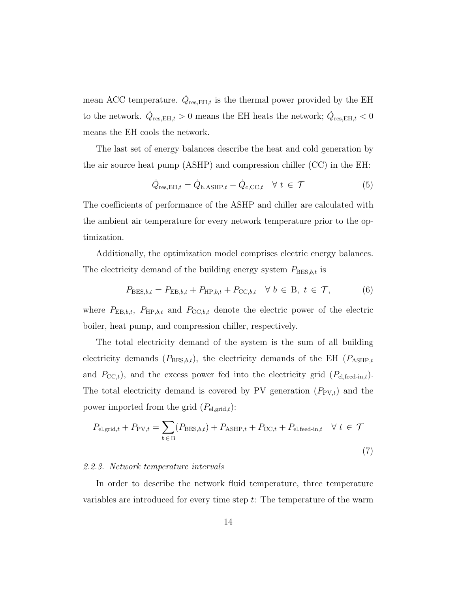mean ACC temperature.  $\dot{Q}_{\text{res,EH},t}$  is the thermal power provided by the EH to the network.  $\dot{Q}_{\text{res,EH},t} > 0$  means the EH heats the network;  $\dot{Q}_{\text{res,EH},t} < 0$ means the EH cools the network.

The last set of energy balances describe the heat and cold generation by the air source heat pump (ASHP) and compression chiller (CC) in the EH:

$$
\dot{Q}_{\text{res,EH},t} = \dot{Q}_{\text{h,ASHP},t} - \dot{Q}_{\text{c,CC},t} \quad \forall \ t \in \mathcal{T}
$$
\n
$$
(5)
$$

The coefficients of performance of the ASHP and chiller are calculated with the ambient air temperature for every network temperature prior to the optimization.

Additionally, the optimization model comprises electric energy balances. The electricity demand of the building energy system  $P_{\text{BES},b,t}$  is

$$
P_{\text{BES},b,t} = P_{\text{EB},b,t} + P_{\text{HP},b,t} + P_{\text{CC},b,t} \quad \forall \ b \in \text{B}, \ t \in \mathcal{T}, \tag{6}
$$

where  $P_{\text{EB},b,t}$ ,  $P_{\text{HP},b,t}$  and  $P_{\text{CC},b,t}$  denote the electric power of the electric boiler, heat pump, and compression chiller, respectively.

The total electricity demand of the system is the sum of all building electricity demands  $(P_{\text{BES},b,t})$ , the electricity demands of the EH  $(P_{\text{ASHP},t})$ and  $P_{\text{CC},t}$ , and the excess power fed into the electricity grid  $(P_{\text{el,feed-in},t})$ . The total electricity demand is covered by PV generation  $(P_{PV,t})$  and the power imported from the grid  $(P_{el,grid,t})$ :

$$
P_{\text{el,grid},t} + P_{\text{PV},t} = \sum_{b \in B} (P_{\text{BES},b,t}) + P_{\text{ASHP},t} + P_{\text{CC},t} + P_{\text{el,feed-in},t} \quad \forall \ t \in \mathcal{T}
$$
\n
$$
\tag{7}
$$

#### 2.2.3. Network temperature intervals

In order to describe the network fluid temperature, three temperature variables are introduced for every time step t: The temperature of the warm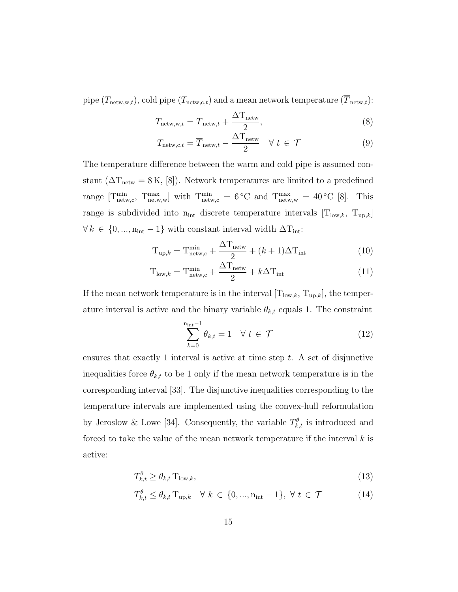pipe  $(T_{\text{network}},t)$ , cold pipe  $(T_{\text{network}},t)$  and a mean network temperature  $(\overline{T}_{\text{network}})$ :

$$
T_{\text{network},t} = \overline{T}_{\text{network},t} + \frac{\Delta T_{\text{network}}}{2},\tag{8}
$$

$$
T_{\text{network},c,t} = \overline{T}_{\text{network},t} - \frac{\Delta T_{\text{network}}}{2} \quad \forall \ t \in \mathcal{T}
$$
 (9)

The temperature difference between the warm and cold pipe is assumed constant ( $\Delta T_{\text{network}} = 8 \,\text{K}$ , [8]). Network temperatures are limited to a predefined range  $[T^{\min}_{\text{network},c}, T^{\max}_{\text{network},w}]$  with  $T^{\min}_{\text{network},c} = 6$ °C and  $T^{\max}_{\text{network},w} = 40$ °C [8]. This range is subdivided into  $n_{int}$  discrete temperature intervals  $[T_{low,k}, T_{up,k}]$  $\forall k \in \{0, ..., n_{\text{int}} - 1\}$  with constant interval width  $\Delta T_{\text{int}}$ :

$$
T_{\text{up},k} = T_{\text{network},c}^{\text{min}} + \frac{\Delta T_{\text{network}}}{2} + (k+1)\Delta T_{\text{int}}
$$
 (10)

$$
T_{\text{low},k} = T_{\text{network},c}^{\text{min}} + \frac{\Delta T_{\text{network}}}{2} + k\Delta T_{\text{int}}
$$
 (11)

If the mean network temperature is in the interval  $[T_{low,k}, T_{up,k}]$ , the temperature interval is active and the binary variable  $\theta_{k,t}$  equals 1. The constraint

$$
\sum_{k=0}^{\mathbf{n}_{\text{int}}-1} \theta_{k,t} = 1 \quad \forall \ t \in \mathcal{T} \tag{12}
$$

ensures that exactly 1 interval is active at time step t. A set of disjunctive inequalities force  $\theta_{k,t}$  to be 1 only if the mean network temperature is in the corresponding interval [33]. The disjunctive inequalities corresponding to the temperature intervals are implemented using the convex-hull reformulation by Jeroslow & Lowe [34]. Consequently, the variable  $T_{k,t}^{\theta}$  is introduced and forced to take the value of the mean network temperature if the interval  $k$  is active:

$$
T_{k,t}^{\theta} \ge \theta_{k,t} \, \text{T}_{\text{low},k},\tag{13}
$$

$$
T_{k,t}^{\theta} \le \theta_{k,t} \mathcal{T}_{\text{up},k} \quad \forall \ k \in \{0, ..., \mathbf{n}_{\text{int}} - 1\}, \ \forall \ t \in \mathcal{T} \tag{14}
$$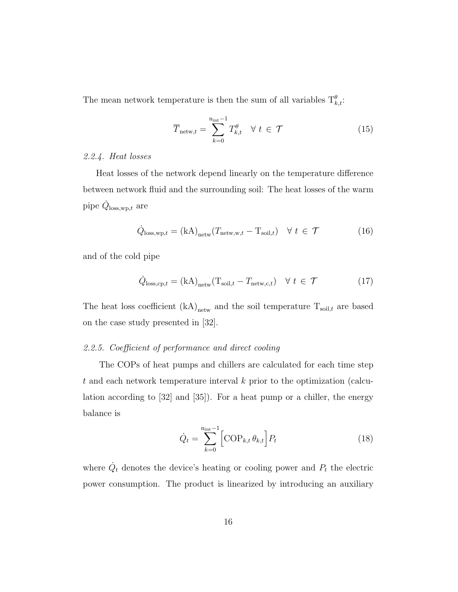The mean network temperature is then the sum of all variables  $T_{k,t}^{\theta}$ :

$$
\overline{T}_{\text{network},t} = \sum_{k=0}^{\text{n}_{\text{int}}-1} T_{k,t}^{\theta} \quad \forall \ t \in \mathcal{T}
$$
\n(15)

#### 2.2.4. Heat losses

Heat losses of the network depend linearly on the temperature difference between network fluid and the surrounding soil: The heat losses of the warm pipe  $\dot{Q}_{\text{loss,wp},t}$  are

$$
\dot{Q}_{\text{loss,wp},t} = (kA)_{\text{network}} (T_{\text{network},t} - T_{\text{soil},t}) \quad \forall \ t \in \mathcal{T}
$$
 (16)

and of the cold pipe

$$
\dot{Q}_{\text{loss},\text{cp},t} = (\text{kA})_{\text{network}} (\text{T}_{\text{soil},t} - \text{T}_{\text{network},c,t}) \quad \forall \ t \in \mathcal{T}
$$
 (17)

The heat loss coefficient  $\rm(kA)_{\rm netw}$  and the soil temperature  $\rm T_{\rm soil, \it t}$  are based on the case study presented in [32].

#### 2.2.5. Coefficient of performance and direct cooling

The COPs of heat pumps and chillers are calculated for each time step t and each network temperature interval k prior to the optimization (calculation according to [32] and [35]). For a heat pump or a chiller, the energy balance is

$$
\dot{Q}_t = \sum_{k=0}^{\text{n}_{\text{int}}-1} \left[ \text{COP}_{k,t} \theta_{k,t} \right] P_t \tag{18}
$$

where  $\dot{Q}_t$  denotes the device's heating or cooling power and  $P_t$  the electric power consumption. The product is linearized by introducing an auxiliary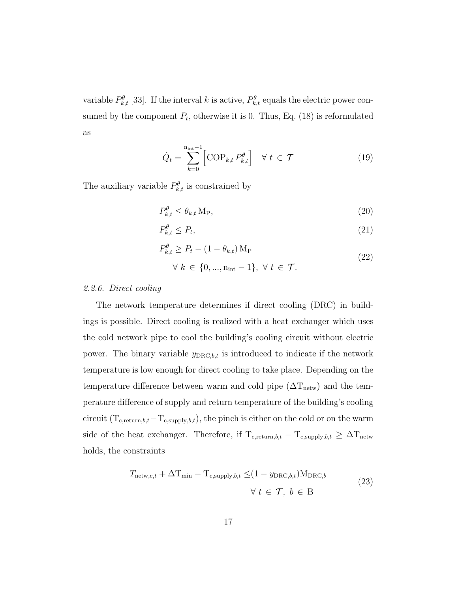variable  $P_{k,t}^{\theta}$  [33]. If the interval k is active,  $P_{k,t}^{\theta}$  equals the electric power consumed by the component  $P_t$ , otherwise it is 0. Thus, Eq. (18) is reformulated as

$$
\dot{Q}_t = \sum_{k=0}^{\mathrm{n}_{\mathrm{int}}-1} \left[ \mathrm{COP}_{k,t} \, P_{k,t}^{\theta} \right] \quad \forall \ t \in \mathcal{T} \tag{19}
$$

The auxiliary variable  $P_{k,t}^{\theta}$  is constrained by

$$
P_{k,t}^{\theta} \le \theta_{k,t} \, \text{M}_P,\tag{20}
$$

$$
P_{k,t}^{\theta} \le P_t,\tag{21}
$$

$$
P_{k,t}^{\theta} \ge P_t - (1 - \theta_{k,t}) \mathbf{M}_{\text{P}} \tag{22}
$$

$$
\forall k \in \{0, ..., n_{\text{int}} - 1\}, \ \forall t \in \mathcal{T}.
$$

#### 2.2.6. Direct cooling

The network temperature determines if direct cooling (DRC) in buildings is possible. Direct cooling is realized with a heat exchanger which uses the cold network pipe to cool the building's cooling circuit without electric power. The binary variable  $y_{\text{DRC},b,t}$  is introduced to indicate if the network temperature is low enough for direct cooling to take place. Depending on the temperature difference between warm and cold pipe  $(\Delta T_{\text{network}})$  and the temperature difference of supply and return temperature of the building's cooling circuit ( $T_{c,return,b,t}-T_{c, supply,b,t}$ ), the pinch is either on the cold or on the warm side of the heat exchanger. Therefore, if  $T_{c,return,b,t} - T_{c, supply,b,t} \geq \Delta T_{network}$ holds, the constraints

$$
T_{\text{network},c,t} + \Delta T_{\text{min}} - T_{c,\text{supply},b,t} \leq (1 - y_{\text{DRC},b,t}) M_{\text{DRC},b}
$$
  

$$
\forall t \in \mathcal{T}, b \in B
$$
 (23)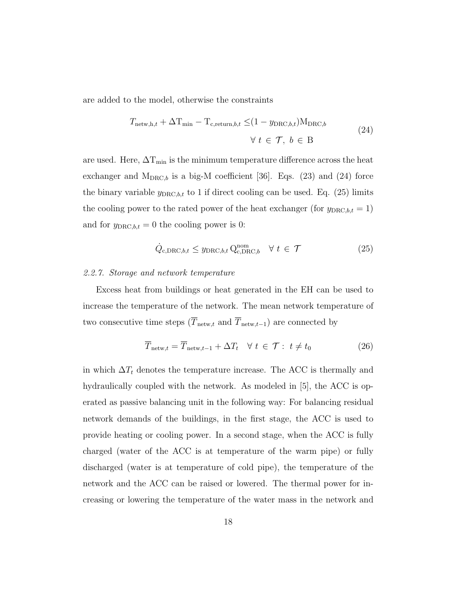are added to the model, otherwise the constraints

$$
T_{\text{network},t} + \Delta T_{\text{min}} - T_{c,\text{return},b,t} \leq (1 - y_{\text{DRC},b,t}) M_{\text{DRC},b}
$$
  

$$
\forall t \in \mathcal{T}, b \in B
$$
 (24)

are used. Here,  $\Delta T_{\min}$  is the minimum temperature difference across the heat exchanger and  $M_{DRC,b}$  is a big-M coefficient [36]. Eqs. (23) and (24) force the binary variable  $y_{\text{DRC},b,t}$  to 1 if direct cooling can be used. Eq. (25) limits the cooling power to the rated power of the heat exchanger (for  $y_{\text{DRC},b,t} = 1$ ) and for  $y_{\text{DRC},b,t} = 0$  the cooling power is 0:

$$
\dot{Q}_{\text{c,DRC},b,t} \leq y_{\text{DRC},b,t} \, \mathbf{Q}_{\text{c,DRC},b}^{\text{nom}} \quad \forall \ t \in \mathcal{T} \tag{25}
$$

#### 2.2.7. Storage and network temperature

Excess heat from buildings or heat generated in the EH can be used to increase the temperature of the network. The mean network temperature of two consecutive time steps  $(\overline{T}_{\text{network}}, \text{and } \overline{T}_{\text{network}-1})$  are connected by

$$
\overline{T}_{\text{network}} = \overline{T}_{\text{network}-1} + \Delta T_t \quad \forall \ t \in \mathcal{T} : t \neq t_0 \tag{26}
$$

in which  $\Delta T_t$  denotes the temperature increase. The ACC is thermally and hydraulically coupled with the network. As modeled in [5], the ACC is operated as passive balancing unit in the following way: For balancing residual network demands of the buildings, in the first stage, the ACC is used to provide heating or cooling power. In a second stage, when the ACC is fully charged (water of the ACC is at temperature of the warm pipe) or fully discharged (water is at temperature of cold pipe), the temperature of the network and the ACC can be raised or lowered. The thermal power for increasing or lowering the temperature of the water mass in the network and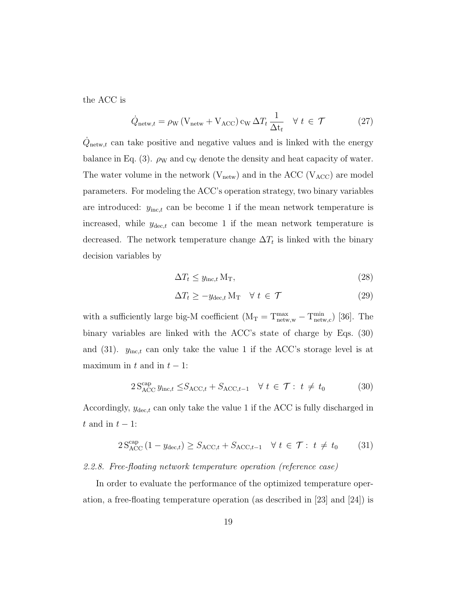the ACC is

$$
\dot{Q}_{\text{network}} = \rho_{\text{W}} \left( V_{\text{network}} + V_{\text{ACC}} \right) c_{\text{W}} \Delta T_t \frac{1}{\Delta t_t} \quad \forall \ t \in \mathcal{T} \tag{27}
$$

 $\dot{Q}_{\text{network}}$  can take positive and negative values and is linked with the energy balance in Eq. (3).  $\rho_W$  and c<sub>W</sub> denote the density and heat capacity of water. The water volume in the network  $(V_{\text{network}})$  and in the ACC  $(V_{\text{ACC}})$  are model parameters. For modeling the ACC's operation strategy, two binary variables are introduced:  $y_{\text{inc},t}$  can be become 1 if the mean network temperature is increased, while  $y_{\text{dec},t}$  can become 1 if the mean network temperature is decreased. The network temperature change  $\Delta T_t$  is linked with the binary decision variables by

$$
\Delta T_t \le y_{\text{inc},t} \, \text{M}_\text{T},\tag{28}
$$

$$
\Delta T_t \ge -y_{\text{dec},t} \, \text{M}_\text{T} \quad \forall \, t \in \mathcal{T} \tag{29}
$$

with a sufficiently large big-M coefficient  $(M_T = T^{\text{max}}_{\text{network},w} - T^{\text{min}}_{\text{network},c})$  [36]. The binary variables are linked with the ACC's state of charge by Eqs. (30) and (31).  $y_{\text{inc},t}$  can only take the value 1 if the ACC's storage level is at maximum in t and in  $t - 1$ :

$$
2 S_{\text{ACC}}^{\text{cap}} y_{\text{inc},t} \leq S_{\text{ACC},t} + S_{\text{ACC},t-1} \quad \forall \ t \in \mathcal{T}: \ t \neq t_0 \tag{30}
$$

Accordingly,  $y_{\text{dec},t}$  can only take the value 1 if the ACC is fully discharged in t and in  $t - 1$ :

$$
2 S_{\text{ACC}}^{\text{cap}} \left( 1 - y_{\text{dec},t} \right) \ge S_{\text{ACC},t} + S_{\text{ACC},t-1} \quad \forall \ t \in \mathcal{T} : t \neq t_0 \tag{31}
$$

#### 2.2.8. Free-floating network temperature operation (reference case)

In order to evaluate the performance of the optimized temperature operation, a free-floating temperature operation (as described in [23] and [24]) is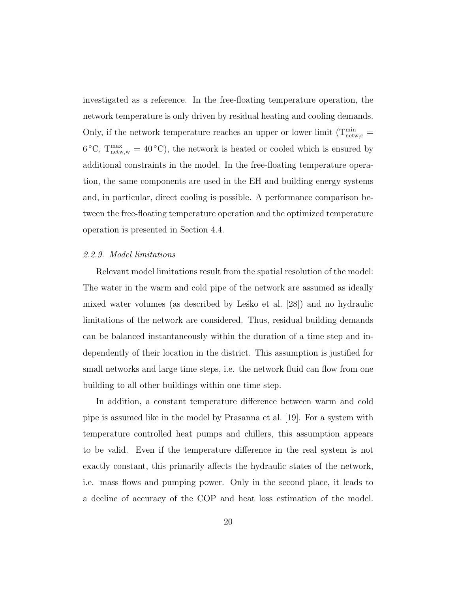investigated as a reference. In the free-floating temperature operation, the network temperature is only driven by residual heating and cooling demands. Only, if the network temperature reaches an upper or lower limit  $(T^{\min}_{\text{network},c}$  $6^{\circ}$ C,  $T_{\text{network},w}^{\text{max}} = 40^{\circ}$ C), the network is heated or cooled which is ensured by additional constraints in the model. In the free-floating temperature operation, the same components are used in the EH and building energy systems and, in particular, direct cooling is possible. A performance comparison between the free-floating temperature operation and the optimized temperature operation is presented in Section 4.4.

#### 2.2.9. Model limitations

Relevant model limitations result from the spatial resolution of the model: The water in the warm and cold pipe of the network are assumed as ideally mixed water volumes (as described by Lesko et al.  $[28]$ ) and no hydraulic limitations of the network are considered. Thus, residual building demands can be balanced instantaneously within the duration of a time step and independently of their location in the district. This assumption is justified for small networks and large time steps, i.e. the network fluid can flow from one building to all other buildings within one time step.

In addition, a constant temperature difference between warm and cold pipe is assumed like in the model by Prasanna et al. [19]. For a system with temperature controlled heat pumps and chillers, this assumption appears to be valid. Even if the temperature difference in the real system is not exactly constant, this primarily affects the hydraulic states of the network, i.e. mass flows and pumping power. Only in the second place, it leads to a decline of accuracy of the COP and heat loss estimation of the model.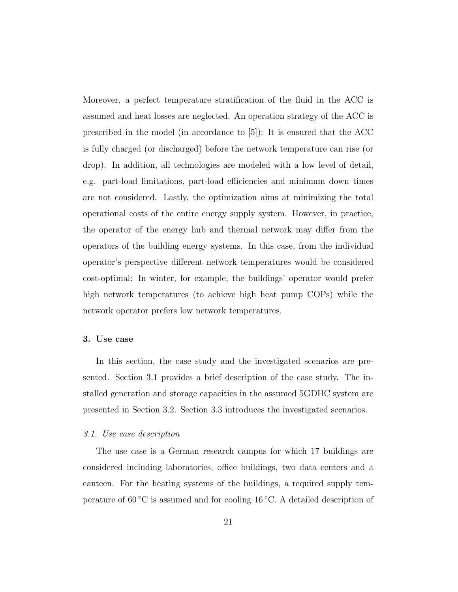Moreover, a perfect temperature stratification of the fluid in the ACC is assumed and heat losses are neglected. An operation strategy of the ACC is prescribed in the model (in accordance to [5]): It is ensured that the ACC is fully charged (or discharged) before the network temperature can rise (or drop). In addition, all technologies are modeled with a low level of detail, e.g. part-load limitations, part-load efficiencies and minimum down times are not considered. Lastly, the optimization aims at minimizing the total operational costs of the entire energy supply system. However, in practice, the operator of the energy hub and thermal network may differ from the operators of the building energy systems. In this case, from the individual operator's perspective different network temperatures would be considered cost-optimal: In winter, for example, the buildings' operator would prefer high network temperatures (to achieve high heat pump COPs) while the network operator prefers low network temperatures.

#### 3. Use case

In this section, the case study and the investigated scenarios are presented. Section 3.1 provides a brief description of the case study. The installed generation and storage capacities in the assumed 5GDHC system are presented in Section 3.2. Section 3.3 introduces the investigated scenarios.

#### 3.1. Use case description

The use case is a German research campus for which 17 buildings are considered including laboratories, office buildings, two data centers and a canteen. For the heating systems of the buildings, a required supply temperature of  $60^{\circ}$ C is assumed and for cooling 16  $^{\circ}$ C. A detailed description of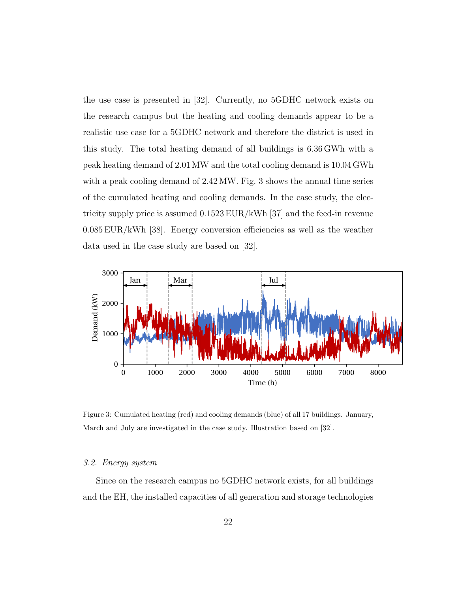the use case is presented in [32]. Currently, no 5GDHC network exists on the research campus but the heating and cooling demands appear to be a realistic use case for a 5GDHC network and therefore the district is used in this study. The total heating demand of all buildings is 6.36 GWh with a peak heating demand of 2.01 MW and the total cooling demand is 10.04 GWh with a peak cooling demand of  $2.42 \text{ MW}$ . Fig. 3 shows the annual time series of the cumulated heating and cooling demands. In the case study, the electricity supply price is assumed 0.1523 EUR/kWh [37] and the feed-in revenue 0.085 EUR/kWh [38]. Energy conversion efficiencies as well as the weather data used in the case study are based on [32].



Figure 3: Cumulated heating (red) and cooling demands (blue) of all 17 buildings. January, March and July are investigated in the case study. Illustration based on [32].

#### 3.2. Energy system

Since on the research campus no 5GDHC network exists, for all buildings and the EH, the installed capacities of all generation and storage technologies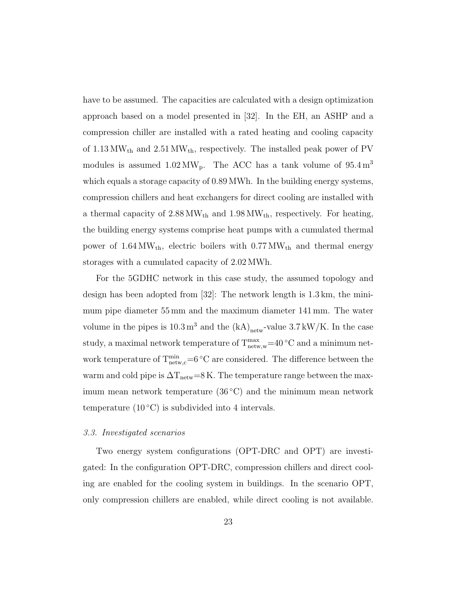have to be assumed. The capacities are calculated with a design optimization approach based on a model presented in [32]. In the EH, an ASHP and a compression chiller are installed with a rated heating and cooling capacity of  $1.13\,\mathrm{MW_{th}}$  and  $2.51\,\mathrm{MW_{th}}$  respectively. The installed peak power of PV modules is assumed  $1.02 \text{ MW}_{p}$ . The ACC has a tank volume of  $95.4 \text{ m}^3$ which equals a storage capacity of 0.89 MWh. In the building energy systems, compression chillers and heat exchangers for direct cooling are installed with a thermal capacity of  $2.88 \text{ MW}_{th}$  and  $1.98 \text{ MW}_{th}$ , respectively. For heating, the building energy systems comprise heat pumps with a cumulated thermal power of  $1.64 \text{ MW}_{\text{th}}$ , electric boilers with  $0.77 \text{ MW}_{\text{th}}$  and thermal energy storages with a cumulated capacity of 2.02 MWh.

For the 5GDHC network in this case study, the assumed topology and design has been adopted from [32]: The network length is 1.3 km, the minimum pipe diameter 55 mm and the maximum diameter 141 mm. The water volume in the pipes is  $10.3 \,\mathrm{m}^3$  and the  $(kA)_{\text{network}}$ -value  $3.7 \,\mathrm{kW/K}$ . In the case study, a maximal network temperature of  $T^{max}_{network}$ =40 °C and a minimum network temperature of  $T^{\min}_{\text{network}}=6 \degree C$  are considered. The difference between the warm and cold pipe is  $\Delta T_{\text{network}}=8$  K. The temperature range between the maximum mean network temperature  $(36 °C)$  and the minimum mean network temperature  $(10\degree C)$  is subdivided into 4 intervals.

#### 3.3. Investigated scenarios

Two energy system configurations (OPT-DRC and OPT) are investigated: In the configuration OPT-DRC, compression chillers and direct cooling are enabled for the cooling system in buildings. In the scenario OPT, only compression chillers are enabled, while direct cooling is not available.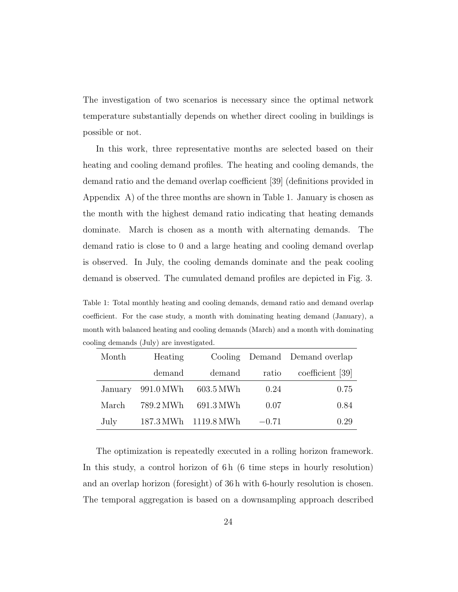The investigation of two scenarios is necessary since the optimal network temperature substantially depends on whether direct cooling in buildings is possible or not.

In this work, three representative months are selected based on their heating and cooling demand profiles. The heating and cooling demands, the demand ratio and the demand overlap coefficient [39] (definitions provided in Appendix  $\Lambda$ ) of the three months are shown in Table 1. January is chosen as the month with the highest demand ratio indicating that heating demands dominate. March is chosen as a month with alternating demands. The demand ratio is close to 0 and a large heating and cooling demand overlap is observed. In July, the cooling demands dominate and the peak cooling demand is observed. The cumulated demand profiles are depicted in Fig. 3.

Table 1: Total monthly heating and cooling demands, demand ratio and demand overlap coefficient. For the case study, a month with dominating heating demand (January), a month with balanced heating and cooling demands (March) and a month with dominating cooling demands (July) are investigated.

| Month   | Heating   |                      |         | Cooling Demand Demand overlap |
|---------|-----------|----------------------|---------|-------------------------------|
|         | demand    | demand               | ratio   | coefficient [39]              |
| January | 991.0 MWh | 603.5 MWh            | 0.24    | 0.75                          |
| March   | 789.2 MWh | 691.3 MWh            | 0.07    | 0.84                          |
| July    |           | 187.3 MWh 1119.8 MWh | $-0.71$ | 0.29                          |

The optimization is repeatedly executed in a rolling horizon framework. In this study, a control horizon of 6 h (6 time steps in hourly resolution) and an overlap horizon (foresight) of 36 h with 6-hourly resolution is chosen. The temporal aggregation is based on a downsampling approach described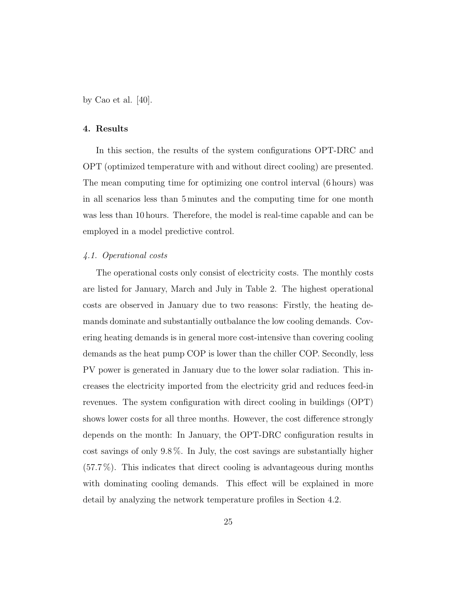by Cao et al. [40].

#### 4. Results

In this section, the results of the system configurations OPT-DRC and OPT (optimized temperature with and without direct cooling) are presented. The mean computing time for optimizing one control interval (6 hours) was in all scenarios less than 5 minutes and the computing time for one month was less than 10 hours. Therefore, the model is real-time capable and can be employed in a model predictive control.

#### 4.1. Operational costs

The operational costs only consist of electricity costs. The monthly costs are listed for January, March and July in Table 2. The highest operational costs are observed in January due to two reasons: Firstly, the heating demands dominate and substantially outbalance the low cooling demands. Covering heating demands is in general more cost-intensive than covering cooling demands as the heat pump COP is lower than the chiller COP. Secondly, less PV power is generated in January due to the lower solar radiation. This increases the electricity imported from the electricity grid and reduces feed-in revenues. The system configuration with direct cooling in buildings (OPT) shows lower costs for all three months. However, the cost difference strongly depends on the month: In January, the OPT-DRC configuration results in cost savings of only 9.8 %. In July, the cost savings are substantially higher (57.7 %). This indicates that direct cooling is advantageous during months with dominating cooling demands. This effect will be explained in more detail by analyzing the network temperature profiles in Section 4.2.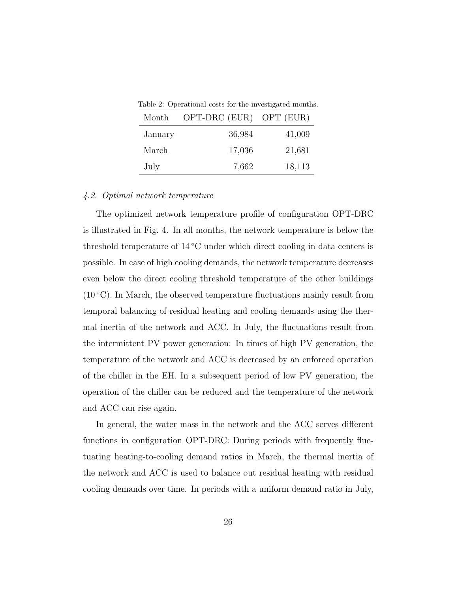Table 2: Operational costs for the investigated months.

| Month   | OPT-DRC (EUR) OPT (EUR) |        |
|---------|-------------------------|--------|
| January | 36,984                  | 41,009 |
| March   | 17,036                  | 21,681 |
| July    | 7,662                   | 18,113 |

#### 4.2. Optimal network temperature

The optimized network temperature profile of configuration OPT-DRC is illustrated in Fig. 4. In all months, the network temperature is below the threshold temperature of  $14\textdegree C$  under which direct cooling in data centers is possible. In case of high cooling demands, the network temperature decreases even below the direct cooling threshold temperature of the other buildings  $(10\degree C)$ . In March, the observed temperature fluctuations mainly result from temporal balancing of residual heating and cooling demands using the thermal inertia of the network and ACC. In July, the fluctuations result from the intermittent PV power generation: In times of high PV generation, the temperature of the network and ACC is decreased by an enforced operation of the chiller in the EH. In a subsequent period of low PV generation, the operation of the chiller can be reduced and the temperature of the network and ACC can rise again.

In general, the water mass in the network and the ACC serves different functions in configuration OPT-DRC: During periods with frequently fluctuating heating-to-cooling demand ratios in March, the thermal inertia of the network and ACC is used to balance out residual heating with residual cooling demands over time. In periods with a uniform demand ratio in July,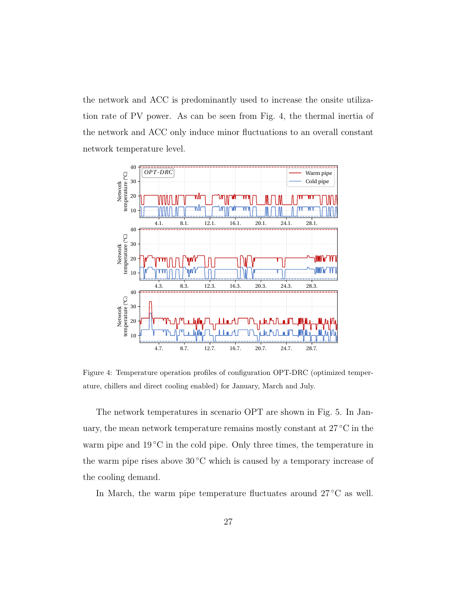the network and ACC is predominantly used to increase the onsite utilization rate of PV power. As can be seen from Fig. 4, the thermal inertia of the network and ACC only induce minor fluctuations to an overall constant network temperature level.



Figure 4: Temperature operation profiles of configuration OPT-DRC (optimized temperature, chillers and direct cooling enabled) for January, March and July.

The network temperatures in scenario OPT are shown in Fig. 5. In January, the mean network temperature remains mostly constant at 27 °C in the warm pipe and  $19^{\circ}$ C in the cold pipe. Only three times, the temperature in the warm pipe rises above  $30^{\circ}$ C which is caused by a temporary increase of the cooling demand.

In March, the warm pipe temperature fluctuates around 27 ◦C as well.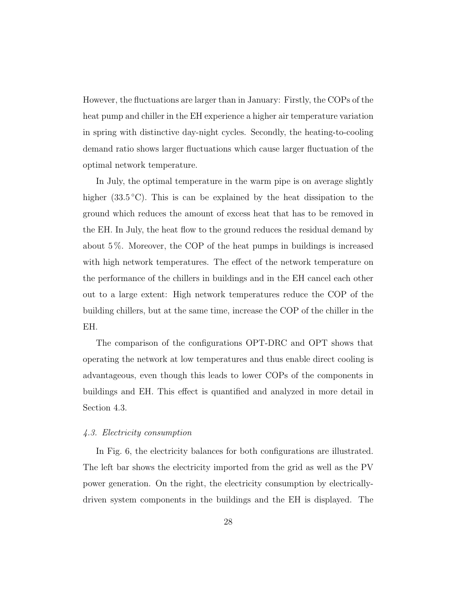However, the fluctuations are larger than in January: Firstly, the COPs of the heat pump and chiller in the EH experience a higher air temperature variation in spring with distinctive day-night cycles. Secondly, the heating-to-cooling demand ratio shows larger fluctuations which cause larger fluctuation of the optimal network temperature.

In July, the optimal temperature in the warm pipe is on average slightly higher (33.5 °C). This is can be explained by the heat dissipation to the ground which reduces the amount of excess heat that has to be removed in the EH. In July, the heat flow to the ground reduces the residual demand by about 5 %. Moreover, the COP of the heat pumps in buildings is increased with high network temperatures. The effect of the network temperature on the performance of the chillers in buildings and in the EH cancel each other out to a large extent: High network temperatures reduce the COP of the building chillers, but at the same time, increase the COP of the chiller in the EH.

The comparison of the configurations OPT-DRC and OPT shows that operating the network at low temperatures and thus enable direct cooling is advantageous, even though this leads to lower COPs of the components in buildings and EH. This effect is quantified and analyzed in more detail in Section 4.3.

#### 4.3. Electricity consumption

In Fig. 6, the electricity balances for both configurations are illustrated. The left bar shows the electricity imported from the grid as well as the PV power generation. On the right, the electricity consumption by electricallydriven system components in the buildings and the EH is displayed. The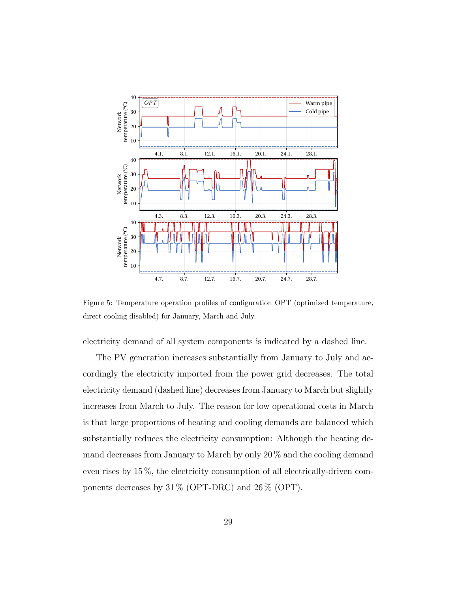

Figure 5: Temperature operation profiles of configuration OPT (optimized temperature, direct cooling disabled) for January, March and July.

electricity demand of all system components is indicated by a dashed line.

The PV generation increases substantially from January to July and accordingly the electricity imported from the power grid decreases. The total electricity demand (dashed line) decreases from January to March but slightly increases from March to July. The reason for low operational costs in March is that large proportions of heating and cooling demands are balanced which substantially reduces the electricity consumption: Although the heating demand decreases from January to March by only 20 % and the cooling demand even rises by 15 %, the electricity consumption of all electrically-driven components decreases by  $31\%$  (OPT-DRC) and  $26\%$  (OPT).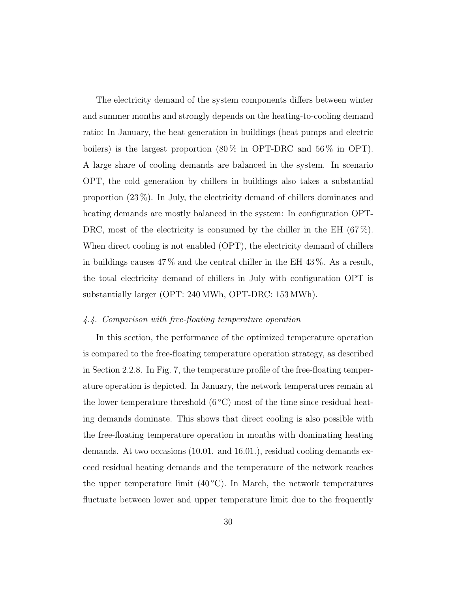The electricity demand of the system components differs between winter and summer months and strongly depends on the heating-to-cooling demand ratio: In January, the heat generation in buildings (heat pumps and electric boilers) is the largest proportion  $(80\%$  in OPT-DRC and  $56\%$  in OPT). A large share of cooling demands are balanced in the system. In scenario OPT, the cold generation by chillers in buildings also takes a substantial proportion (23 %). In July, the electricity demand of chillers dominates and heating demands are mostly balanced in the system: In configuration OPT-DRC, most of the electricity is consumed by the chiller in the EH  $(67\%)$ . When direct cooling is not enabled (OPT), the electricity demand of chillers in buildings causes  $47\%$  and the central chiller in the EH  $43\%$ . As a result, the total electricity demand of chillers in July with configuration OPT is substantially larger (OPT: 240 MWh, OPT-DRC: 153 MWh).

#### 4.4. Comparison with free-floating temperature operation

In this section, the performance of the optimized temperature operation is compared to the free-floating temperature operation strategy, as described in Section 2.2.8. In Fig. 7, the temperature profile of the free-floating temperature operation is depicted. In January, the network temperatures remain at the lower temperature threshold  $(6^{\circ}C)$  most of the time since residual heating demands dominate. This shows that direct cooling is also possible with the free-floating temperature operation in months with dominating heating demands. At two occasions (10.01. and 16.01.), residual cooling demands exceed residual heating demands and the temperature of the network reaches the upper temperature limit  $(40 °C)$ . In March, the network temperatures fluctuate between lower and upper temperature limit due to the frequently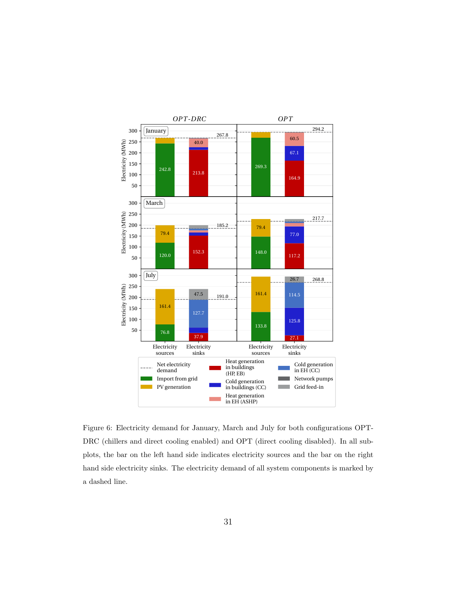

Figure 6: Electricity demand for January, March and July for both configurations OPT-DRC (chillers and direct cooling enabled) and OPT (direct cooling disabled). In all subplots, the bar on the left hand side indicates electricity sources and the bar on the right hand side electricity sinks. The electricity demand of all system components is marked by a dashed line.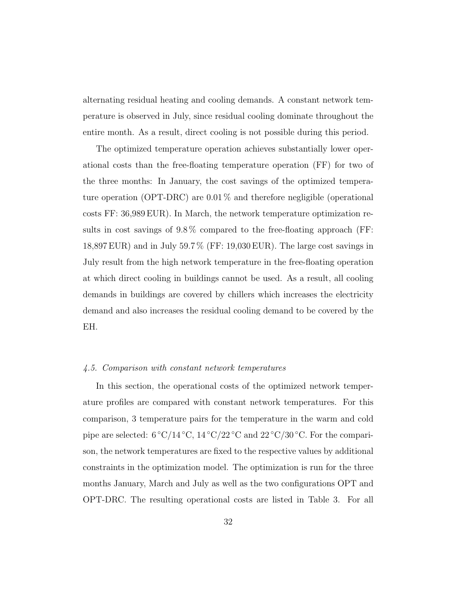alternating residual heating and cooling demands. A constant network temperature is observed in July, since residual cooling dominate throughout the entire month. As a result, direct cooling is not possible during this period.

The optimized temperature operation achieves substantially lower operational costs than the free-floating temperature operation (FF) for two of the three months: In January, the cost savings of the optimized temperature operation (OPT-DRC) are 0.01 % and therefore negligible (operational costs FF: 36,989 EUR). In March, the network temperature optimization results in cost savings of 9.8 % compared to the free-floating approach (FF: 18,897 EUR) and in July 59.7 % (FF: 19,030 EUR). The large cost savings in July result from the high network temperature in the free-floating operation at which direct cooling in buildings cannot be used. As a result, all cooling demands in buildings are covered by chillers which increases the electricity demand and also increases the residual cooling demand to be covered by the EH.

#### 4.5. Comparison with constant network temperatures

In this section, the operational costs of the optimized network temperature profiles are compared with constant network temperatures. For this comparison, 3 temperature pairs for the temperature in the warm and cold pipe are selected:  $6 °C/14 °C$ ,  $14 °C/22 °C$  and  $22 °C/30 °C$ . For the comparison, the network temperatures are fixed to the respective values by additional constraints in the optimization model. The optimization is run for the three months January, March and July as well as the two configurations OPT and OPT-DRC. The resulting operational costs are listed in Table 3. For all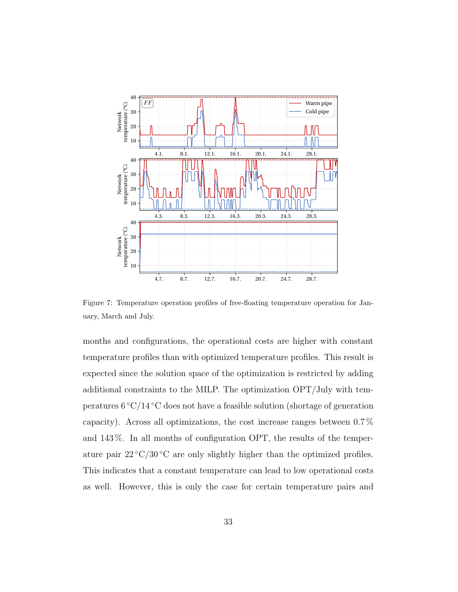

Figure 7: Temperature operation profiles of free-floating temperature operation for January, March and July.

months and configurations, the operational costs are higher with constant temperature profiles than with optimized temperature profiles. This result is expected since the solution space of the optimization is restricted by adding additional constraints to the MILP. The optimization OPT/July with temperatures  $6 \degree C/14 \degree C$  does not have a feasible solution (shortage of generation capacity). Across all optimizations, the cost increase ranges between 0.7 % and 143 %. In all months of configuration OPT, the results of the temperature pair  $22^{\circ}C/30^{\circ}C$  are only slightly higher than the optimized profiles. This indicates that a constant temperature can lead to low operational costs as well. However, this is only the case for certain temperature pairs and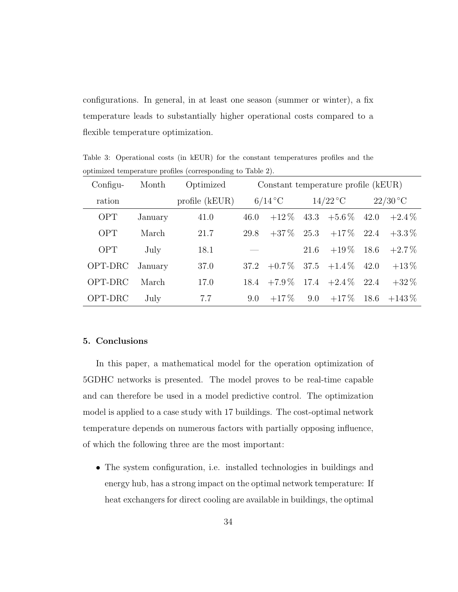configurations. In general, in at least one season (summer or winter), a fix temperature leads to substantially higher operational costs compared to a flexible temperature optimization.

| $Configu-$ | Month   | Optimized        | Constant temperature profile (kEUR) |                            |      |                      |      |            |
|------------|---------|------------------|-------------------------------------|----------------------------|------|----------------------|------|------------|
| ration     |         | profile $(kEUR)$ |                                     | $6/14\,^{\circ}\mathrm{C}$ |      | $14/22\textdegree C$ |      | $22/30$ °C |
| <b>OPT</b> | January | 41.0             | 46.0                                | $+12\%$                    |      | $43.3 + 5.6\%$       | 42.0 | $+2.4\%$   |
| <b>OPT</b> | March   | 21.7             | 29.8                                | $+37\%$                    | 25.3 | $+17\%$ 22.4         |      | $+3.3\%$   |
| <b>OPT</b> | July    | 18.1             |                                     |                            | 21.6 | $+19\,\%$            | 18.6 | $+2.7\%$   |
| OPT-DRC    | January | 37.0             | 37.2                                | $+0.7\%$                   |      | $37.5 + 1.4\%$       | 42.0 | $+13\%$    |
| OPT-DRC    | March   | 17.0             | 18.4                                | $+7.9\%$                   | 17.4 | $+2.4\%$             | 22.4 | $+32\%$    |
| OPT-DRC    | July    | 7.7              | 9.0                                 | $+17\%$                    | 9.0  | $+17\%$              | 18.6 | $+143\%$   |

Table 3: Operational costs (in kEUR) for the constant temperatures profiles and the optimized temperature profiles (corresponding to Table 2).

#### 5. Conclusions

In this paper, a mathematical model for the operation optimization of 5GDHC networks is presented. The model proves to be real-time capable and can therefore be used in a model predictive control. The optimization model is applied to a case study with 17 buildings. The cost-optimal network temperature depends on numerous factors with partially opposing influence, of which the following three are the most important:

• The system configuration, i.e. installed technologies in buildings and energy hub, has a strong impact on the optimal network temperature: If heat exchangers for direct cooling are available in buildings, the optimal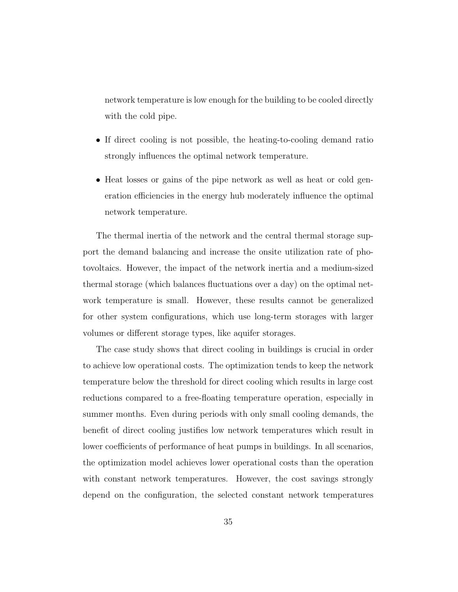network temperature is low enough for the building to be cooled directly with the cold pipe.

- If direct cooling is not possible, the heating-to-cooling demand ratio strongly influences the optimal network temperature.
- Heat losses or gains of the pipe network as well as heat or cold generation efficiencies in the energy hub moderately influence the optimal network temperature.

The thermal inertia of the network and the central thermal storage support the demand balancing and increase the onsite utilization rate of photovoltaics. However, the impact of the network inertia and a medium-sized thermal storage (which balances fluctuations over a day) on the optimal network temperature is small. However, these results cannot be generalized for other system configurations, which use long-term storages with larger volumes or different storage types, like aquifer storages.

The case study shows that direct cooling in buildings is crucial in order to achieve low operational costs. The optimization tends to keep the network temperature below the threshold for direct cooling which results in large cost reductions compared to a free-floating temperature operation, especially in summer months. Even during periods with only small cooling demands, the benefit of direct cooling justifies low network temperatures which result in lower coefficients of performance of heat pumps in buildings. In all scenarios, the optimization model achieves lower operational costs than the operation with constant network temperatures. However, the cost savings strongly depend on the configuration, the selected constant network temperatures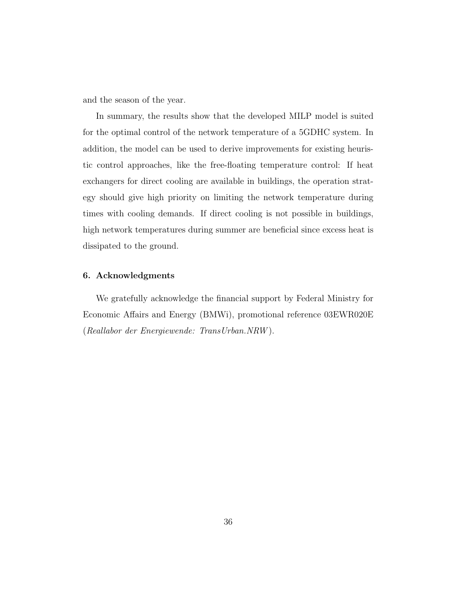and the season of the year.

In summary, the results show that the developed MILP model is suited for the optimal control of the network temperature of a 5GDHC system. In addition, the model can be used to derive improvements for existing heuristic control approaches, like the free-floating temperature control: If heat exchangers for direct cooling are available in buildings, the operation strategy should give high priority on limiting the network temperature during times with cooling demands. If direct cooling is not possible in buildings, high network temperatures during summer are beneficial since excess heat is dissipated to the ground.

#### 6. Acknowledgments

We gratefully acknowledge the financial support by Federal Ministry for Economic Affairs and Energy (BMWi), promotional reference 03EWR020E (Reallabor der Energiewende: TransUrban.NRW ).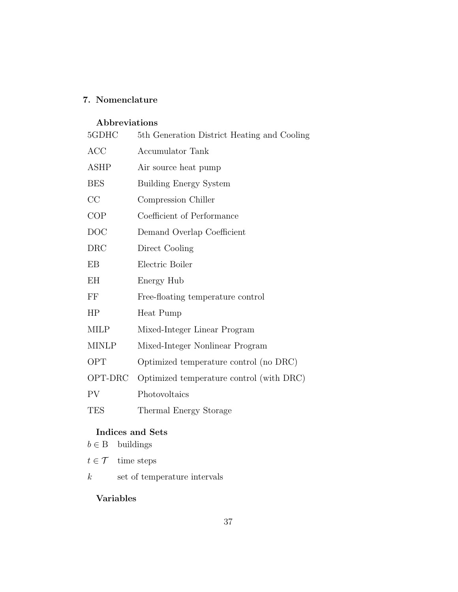## 7. Nomenclature

## Abbreviations

| 5GDHC        | 5th Generation District Heating and Cooling |
|--------------|---------------------------------------------|
| <b>ACC</b>   | <b>Accumulator Tank</b>                     |
| <b>ASHP</b>  | Air source heat pump                        |
| <b>BES</b>   | <b>Building Energy System</b>               |
| CC           | Compression Chiller                         |
| COP          | Coefficient of Performance                  |
| <b>DOC</b>   | Demand Overlap Coefficient                  |
| <b>DRC</b>   | Direct Cooling                              |
| EB           | Electric Boiler                             |
| ΕH           | Energy Hub                                  |
| $\rm FF$     | Free-floating temperature control           |
| HP           | Heat Pump                                   |
| <b>MILP</b>  | Mixed-Integer Linear Program                |
| <b>MINLP</b> | Mixed-Integer Nonlinear Program             |
| OPT          | Optimized temperature control (no DRC)      |
| OPT-DRC      | Optimized temperature control (with DRC)    |
| PV           | Photovoltaics                               |
| <b>TES</b>   | Thermal Energy Storage                      |
|              |                                             |

## Indices and Sets

| $b \in B$ | buildings |
|-----------|-----------|
|           |           |

 $t\in\ensuremath{\mathcal{T}}$  – time steps

 $k$  set of temperature intervals

## Variables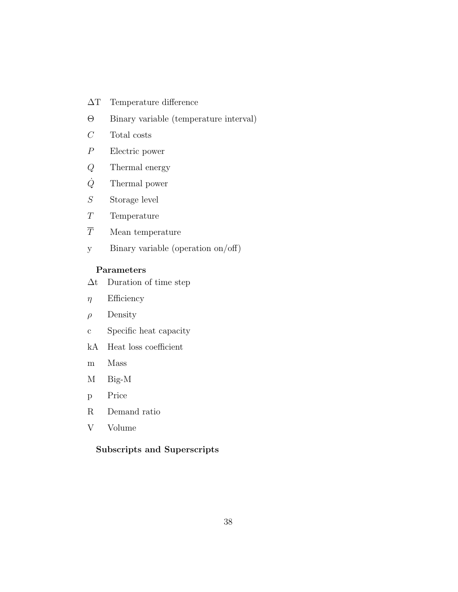- ∆T Temperature difference
- Θ Binary variable (temperature interval)
- $C$  Total costs
- P Electric power
- Q Thermal energy
- $\dot{Q}$  Thermal power
- $S$  Storage level
- T Temperature
- $\overline{T}$  Mean temperature
- y Binary variable (operation on/off)

#### Parameters

- ∆t Duration of time step
- $\eta$  Efficiency
- $\rho$  Density
- c Specific heat capacity
- kA Heat loss coefficient
- m Mass
- M Big-M
- p Price
- R Demand ratio
- V Volume

## Subscripts and Superscripts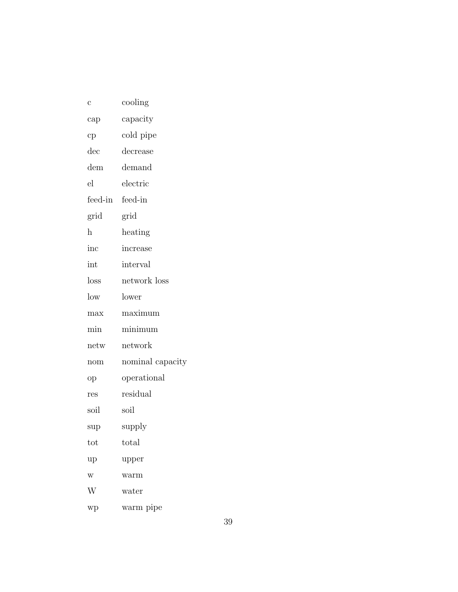| с               | cooling          |
|-----------------|------------------|
| cap             | capacity         |
| cp              | cold pipe        |
| $_{\rm dec}$    | decrease         |
| $d$ em          | demand           |
| el              | electric         |
| feed-in         | feed-in          |
| grid            | grid             |
| h               | heating          |
| inc             | increase         |
| int             | interval         |
| loss            | network loss     |
| $_{\text{low}}$ | lower            |
| max             | maximum          |
| min             | minimum          |
| netw            | network          |
| nom             | nominal capacity |
| op              | operational      |
| res             | residual         |
| soil            | soil             |
| sup             | supply           |
| tot             | total            |
| up              | upper            |
| w               | warm             |
| W               | water            |
| wp              | warm pipe        |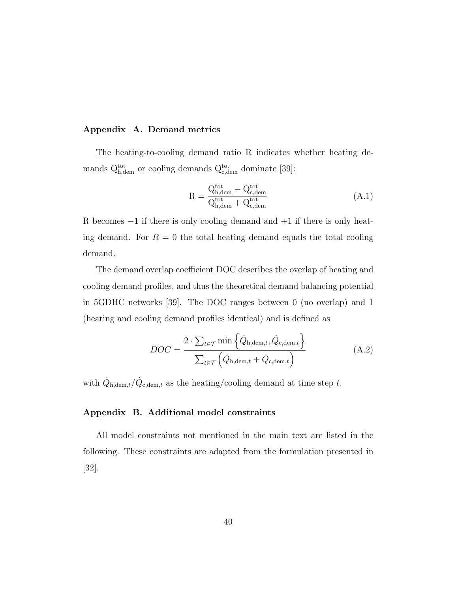#### Appendix A. Demand metrics

The heating-to-cooling demand ratio R indicates whether heating demands  $Q_{h,\text{dem}}^{\text{tot}}$  or cooling demands  $Q_{c,\text{dem}}^{\text{tot}}$  dominate [39]:

$$
R = \frac{Q_{h,\text{dem}}^{\text{tot}} - Q_{c,\text{dem}}^{\text{tot}}}{Q_{h,\text{dem}}^{\text{tot}} + Q_{c,\text{dem}}^{\text{tot}}}
$$
(A.1)

R becomes  $-1$  if there is only cooling demand and  $+1$  if there is only heating demand. For  $R = 0$  the total heating demand equals the total cooling demand.

The demand overlap coefficient DOC describes the overlap of heating and cooling demand profiles, and thus the theoretical demand balancing potential in 5GDHC networks [39]. The DOC ranges between 0 (no overlap) and 1 (heating and cooling demand profiles identical) and is defined as

$$
DOC = \frac{2 \cdot \sum_{t \in \mathcal{T}} \min \left\{ \dot{Q}_{h, \text{dem}, t}, \dot{Q}_{c, \text{dem}, t} \right\}}{\sum_{t \in \mathcal{T}} \left( \dot{Q}_{h, \text{dem}, t} + \dot{Q}_{c, \text{dem}, t} \right)}
$$
(A.2)

with  $\dot{Q}_{h, dem, t}/\dot{Q}_{c, dem, t}$  as the heating/cooling demand at time step t.

#### Appendix B. Additional model constraints

All model constraints not mentioned in the main text are listed in the following. These constraints are adapted from the formulation presented in [32].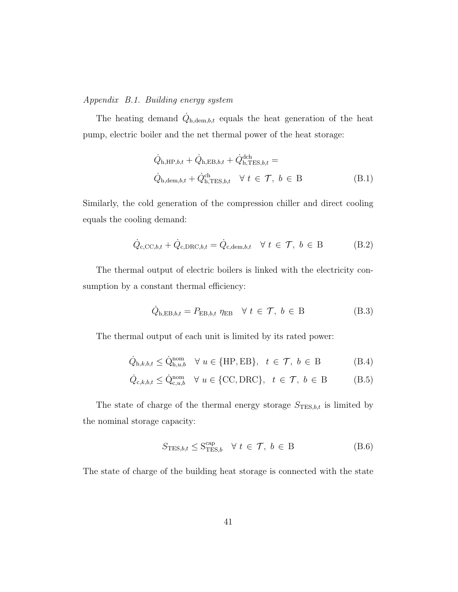#### Appendix B.1. Building energy system

The heating demand  $\dot{Q}_{h, dem,b,t}$  equals the heat generation of the heat pump, electric boiler and the net thermal power of the heat storage:

$$
\dot{Q}_{\mathrm{h},\mathrm{HP},b,t} + \dot{Q}_{\mathrm{h},\mathrm{EB},b,t} + \dot{Q}_{\mathrm{h},\mathrm{TES},b,t}^{\mathrm{dch}} =
$$
\n
$$
\dot{Q}_{\mathrm{h},\mathrm{dem},b,t} + \dot{Q}_{\mathrm{h},\mathrm{TES},b,t}^{\mathrm{ch}} \quad \forall \ t \in \mathcal{T}, \ b \in B
$$
\n(B.1)

Similarly, the cold generation of the compression chiller and direct cooling equals the cooling demand:

$$
\dot{Q}_{c,CC,b,t} + \dot{Q}_{c,DRC,b,t} = \dot{Q}_{c,dem,b,t} \quad \forall \ t \in \mathcal{T}, \ b \in B
$$
\n(B.2)

The thermal output of electric boilers is linked with the electricity consumption by a constant thermal efficiency:

$$
\dot{Q}_{\mathrm{h, EB},b,t} = P_{\mathrm{EB},b,t} \eta_{\mathrm{EB}} \quad \forall \ t \in \mathcal{T}, \ b \in \mathrm{B}
$$
 (B.3)

The thermal output of each unit is limited by its rated power:

$$
\dot{Q}_{h,k,b,t} \le \dot{Q}_{h,u,b}^{\text{nom}} \quad \forall \ u \in \{\text{HP}, \text{EB}\}, \ t \in \mathcal{T}, \ b \in \text{B}
$$
 (B.4)

$$
\dot{Q}_{c,k,b,t} \le \dot{Q}_{c,u,b}^{\text{nom}} \quad \forall \ u \in \{\text{CC}, \text{DRC}\}, \ t \in \mathcal{T}, \ b \in \mathcal{B} \tag{B.5}
$$

The state of charge of the thermal energy storage  $S_{\mathrm{TES},b,t}$  is limited by the nominal storage capacity:

$$
S_{\text{TES},b,t} \le S_{\text{TES},b}^{\text{cap}} \quad \forall \ t \in \mathcal{T}, \ b \in B \tag{B.6}
$$

The state of charge of the building heat storage is connected with the state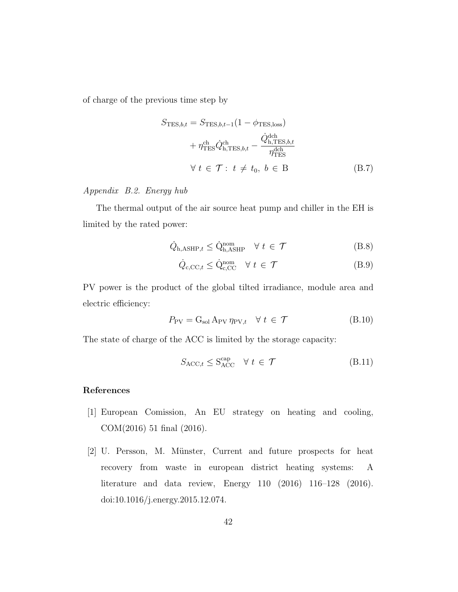of charge of the previous time step by

$$
S_{\text{TES},b,t} = S_{\text{TES},b,t-1} (1 - \phi_{\text{TES},\text{loss}}) + \eta_{\text{TES}}^{\text{ch}} \dot{Q}_{\text{h},\text{TES},b,t}^{\text{ch}} - \frac{\dot{Q}_{\text{h},\text{TES},b,t}^{\text{dch}}}{\eta_{\text{TES}}^{\text{dch}}} \quad \forall \ t \in \mathcal{T}: t \neq t_0, b \in B \quad (B.7)
$$

## Appendix B.2. Energy hub

The thermal output of the air source heat pump and chiller in the EH is limited by the rated power:

$$
\dot{Q}_{\mathrm{h,ASHP},t} \leq \dot{Q}_{\mathrm{h,ASHP}}^{\mathrm{nom}} \quad \forall \ t \in \mathcal{T}
$$
\n(B.8)

$$
\dot{Q}_{c, \text{CC}, t} \le \dot{Q}_{c, \text{CC}}^{\text{nom}} \quad \forall \ t \in \mathcal{T}
$$
\n(B.9)

PV power is the product of the global tilted irradiance, module area and electric efficiency:

$$
P_{\rm PV} = G_{\rm sol} A_{\rm PV} \eta_{\rm PV, t} \quad \forall \ t \in \mathcal{T} \tag{B.10}
$$

The state of charge of the ACC is limited by the storage capacity:

$$
S_{\text{ACC},t} \le S_{\text{ACC}}^{\text{cap}} \quad \forall \ t \in \mathcal{T} \tag{B.11}
$$

#### References

- [1] European Comission, An EU strategy on heating and cooling, COM(2016) 51 final (2016).
- [2] U. Persson, M. M¨unster, Current and future prospects for heat recovery from waste in european district heating systems: A literature and data review, Energy 110 (2016) 116–128 (2016). doi:10.1016/j.energy.2015.12.074.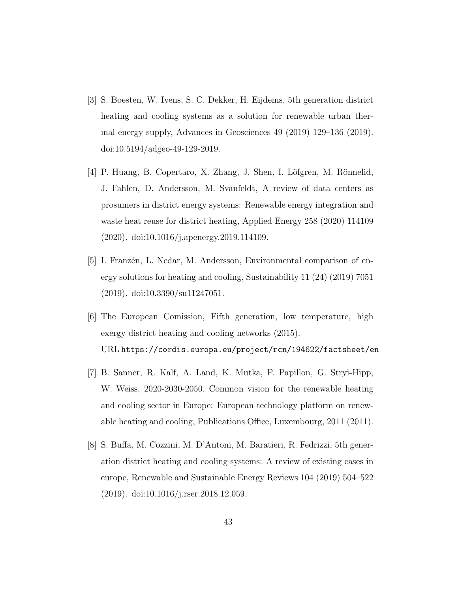- [3] S. Boesten, W. Ivens, S. C. Dekker, H. Eijdems, 5th generation district heating and cooling systems as a solution for renewable urban thermal energy supply, Advances in Geosciences 49 (2019) 129–136 (2019). doi:10.5194/adgeo-49-129-2019.
- [4] P. Huang, B. Copertaro, X. Zhang, J. Shen, I. Löfgren, M. Rönnelid, J. Fahlen, D. Andersson, M. Svanfeldt, A review of data centers as prosumers in district energy systems: Renewable energy integration and waste heat reuse for district heating, Applied Energy 258 (2020) 114109 (2020). doi:10.1016/j.apenergy.2019.114109.
- [5] I. Franzén, L. Nedar, M. Andersson, Environmental comparison of energy solutions for heating and cooling, Sustainability 11 (24) (2019) 7051 (2019). doi:10.3390/su11247051.
- [6] The European Comission, Fifth generation, low temperature, high exergy district heating and cooling networks (2015). URL https://cordis.europa.eu/project/rcn/194622/factsheet/en
- [7] B. Sanner, R. Kalf, A. Land, K. Mutka, P. Papillon, G. Stryi-Hipp, W. Weiss, 2020-2030-2050, Common vision for the renewable heating and cooling sector in Europe: European technology platform on renewable heating and cooling, Publications Office, Luxembourg, 2011 (2011).
- [8] S. Buffa, M. Cozzini, M. D'Antoni, M. Baratieri, R. Fedrizzi, 5th generation district heating and cooling systems: A review of existing cases in europe, Renewable and Sustainable Energy Reviews 104 (2019) 504–522 (2019). doi:10.1016/j.rser.2018.12.059.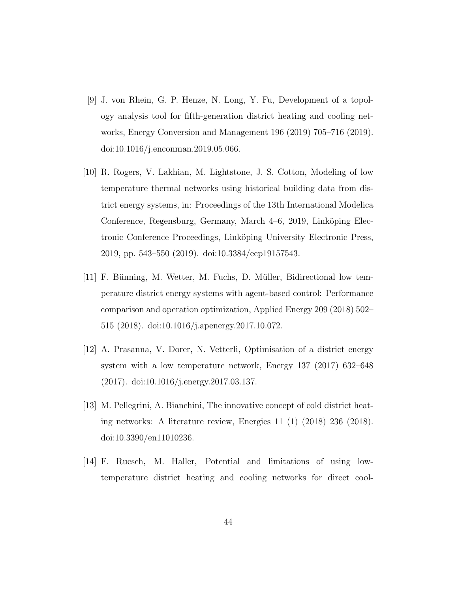- [9] J. von Rhein, G. P. Henze, N. Long, Y. Fu, Development of a topology analysis tool for fifth-generation district heating and cooling networks, Energy Conversion and Management 196 (2019) 705–716 (2019). doi:10.1016/j.enconman.2019.05.066.
- [10] R. Rogers, V. Lakhian, M. Lightstone, J. S. Cotton, Modeling of low temperature thermal networks using historical building data from district energy systems, in: Proceedings of the 13th International Modelica Conference, Regensburg, Germany, March 4–6, 2019, Linköping Electronic Conference Proceedings, Linköping University Electronic Press, 2019, pp. 543–550 (2019). doi:10.3384/ecp19157543.
- [11] F. Bünning, M. Wetter, M. Fuchs, D. Müller, Bidirectional low temperature district energy systems with agent-based control: Performance comparison and operation optimization, Applied Energy 209 (2018) 502– 515 (2018). doi:10.1016/j.apenergy.2017.10.072.
- [12] A. Prasanna, V. Dorer, N. Vetterli, Optimisation of a district energy system with a low temperature network, Energy 137 (2017) 632–648 (2017). doi:10.1016/j.energy.2017.03.137.
- [13] M. Pellegrini, A. Bianchini, The innovative concept of cold district heating networks: A literature review, Energies 11 (1) (2018) 236 (2018). doi:10.3390/en11010236.
- [14] F. Ruesch, M. Haller, Potential and limitations of using lowtemperature district heating and cooling networks for direct cool-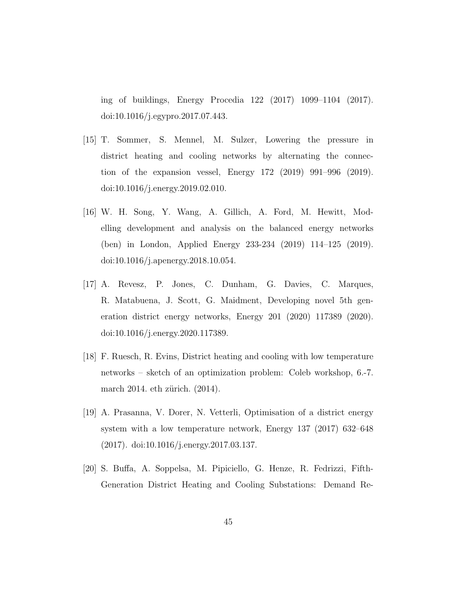ing of buildings, Energy Procedia 122 (2017) 1099–1104 (2017). doi:10.1016/j.egypro.2017.07.443.

- [15] T. Sommer, S. Mennel, M. Sulzer, Lowering the pressure in district heating and cooling networks by alternating the connection of the expansion vessel, Energy 172 (2019) 991–996 (2019). doi:10.1016/j.energy.2019.02.010.
- [16] W. H. Song, Y. Wang, A. Gillich, A. Ford, M. Hewitt, Modelling development and analysis on the balanced energy networks (ben) in London, Applied Energy 233-234 (2019) 114–125 (2019). doi:10.1016/j.apenergy.2018.10.054.
- [17] A. Revesz, P. Jones, C. Dunham, G. Davies, C. Marques, R. Matabuena, J. Scott, G. Maidment, Developing novel 5th generation district energy networks, Energy 201 (2020) 117389 (2020). doi:10.1016/j.energy.2020.117389.
- [18] F. Ruesch, R. Evins, District heating and cooling with low temperature networks – sketch of an optimization problem: Coleb workshop, 6.-7. march 2014. eth zürich.  $(2014)$ .
- [19] A. Prasanna, V. Dorer, N. Vetterli, Optimisation of a district energy system with a low temperature network, Energy 137 (2017) 632–648 (2017). doi:10.1016/j.energy.2017.03.137.
- [20] S. Buffa, A. Soppelsa, M. Pipiciello, G. Henze, R. Fedrizzi, Fifth-Generation District Heating and Cooling Substations: Demand Re-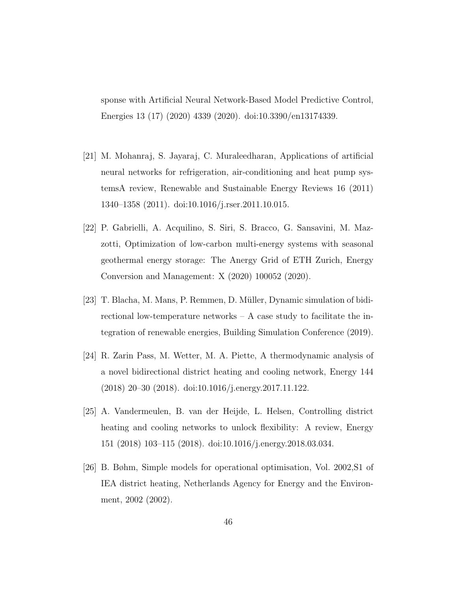sponse with Artificial Neural Network-Based Model Predictive Control, Energies 13 (17) (2020) 4339 (2020). doi:10.3390/en13174339.

- [21] M. Mohanraj, S. Jayaraj, C. Muraleedharan, Applications of artificial neural networks for refrigeration, air-conditioning and heat pump systemsA review, Renewable and Sustainable Energy Reviews 16 (2011) 1340–1358 (2011). doi:10.1016/j.rser.2011.10.015.
- [22] P. Gabrielli, A. Acquilino, S. Siri, S. Bracco, G. Sansavini, M. Mazzotti, Optimization of low-carbon multi-energy systems with seasonal geothermal energy storage: The Anergy Grid of ETH Zurich, Energy Conversion and Management: X (2020) 100052 (2020).
- [23] T. Blacha, M. Mans, P. Remmen, D. M¨uller, Dynamic simulation of bidirectional low-temperature networks  $- A$  case study to facilitate the integration of renewable energies, Building Simulation Conference (2019).
- [24] R. Zarin Pass, M. Wetter, M. A. Piette, A thermodynamic analysis of a novel bidirectional district heating and cooling network, Energy 144 (2018) 20–30 (2018). doi:10.1016/j.energy.2017.11.122.
- [25] A. Vandermeulen, B. van der Heijde, L. Helsen, Controlling district heating and cooling networks to unlock flexibility: A review, Energy 151 (2018) 103–115 (2018). doi:10.1016/j.energy.2018.03.034.
- [26] B. Bøhm, Simple models for operational optimisation, Vol. 2002,S1 of IEA district heating, Netherlands Agency for Energy and the Environment, 2002 (2002).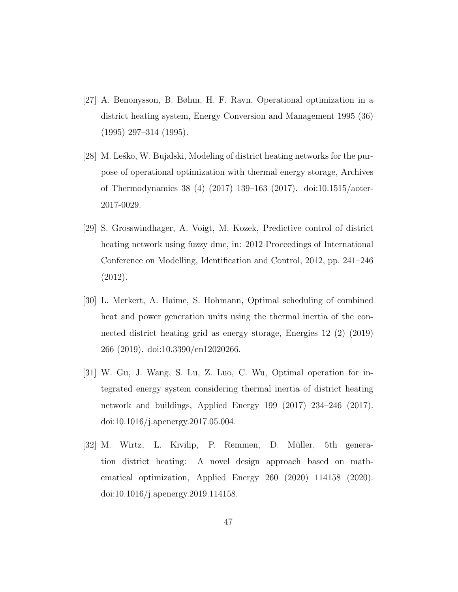- [27] A. Benonysson, B. Bøhm, H. F. Ravn, Operational optimization in a district heating system, Energy Conversion and Management 1995 (36) (1995) 297–314 (1995).
- [28] M. Lesko, W. Bujalski, Modeling of district heating networks for the purpose of operational optimization with thermal energy storage, Archives of Thermodynamics 38 (4) (2017) 139–163 (2017). doi:10.1515/aoter-2017-0029.
- [29] S. Grosswindhager, A. Voigt, M. Kozek, Predictive control of district heating network using fuzzy dmc, in: 2012 Proceedings of International Conference on Modelling, Identification and Control, 2012, pp. 241–246 (2012).
- [30] L. Merkert, A. Haime, S. Hohmann, Optimal scheduling of combined heat and power generation units using the thermal inertia of the connected district heating grid as energy storage, Energies 12 (2) (2019) 266 (2019). doi:10.3390/en12020266.
- [31] W. Gu, J. Wang, S. Lu, Z. Luo, C. Wu, Optimal operation for integrated energy system considering thermal inertia of district heating network and buildings, Applied Energy 199 (2017) 234–246 (2017). doi:10.1016/j.apenergy.2017.05.004.
- [32] M. Wirtz, L. Kivilip, P. Remmen, D. Müller, 5th generation district heating: A novel design approach based on mathematical optimization, Applied Energy 260 (2020) 114158 (2020). doi:10.1016/j.apenergy.2019.114158.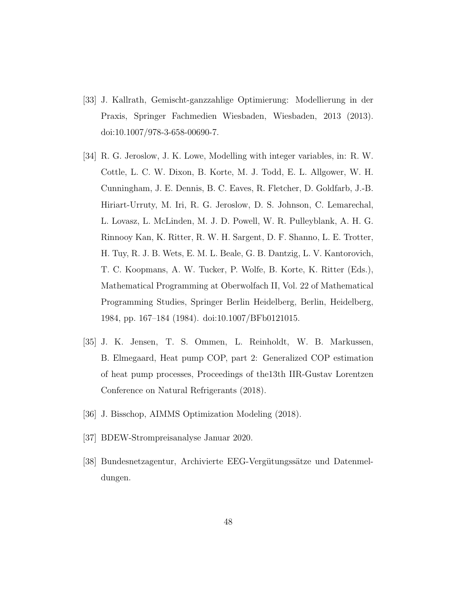- [33] J. Kallrath, Gemischt-ganzzahlige Optimierung: Modellierung in der Praxis, Springer Fachmedien Wiesbaden, Wiesbaden, 2013 (2013). doi:10.1007/978-3-658-00690-7.
- [34] R. G. Jeroslow, J. K. Lowe, Modelling with integer variables, in: R. W. Cottle, L. C. W. Dixon, B. Korte, M. J. Todd, E. L. Allgower, W. H. Cunningham, J. E. Dennis, B. C. Eaves, R. Fletcher, D. Goldfarb, J.-B. Hiriart-Urruty, M. Iri, R. G. Jeroslow, D. S. Johnson, C. Lemarechal, L. Lovasz, L. McLinden, M. J. D. Powell, W. R. Pulleyblank, A. H. G. Rinnooy Kan, K. Ritter, R. W. H. Sargent, D. F. Shanno, L. E. Trotter, H. Tuy, R. J. B. Wets, E. M. L. Beale, G. B. Dantzig, L. V. Kantorovich, T. C. Koopmans, A. W. Tucker, P. Wolfe, B. Korte, K. Ritter (Eds.), Mathematical Programming at Oberwolfach II, Vol. 22 of Mathematical Programming Studies, Springer Berlin Heidelberg, Berlin, Heidelberg, 1984, pp. 167–184 (1984). doi:10.1007/BFb0121015.
- [35] J. K. Jensen, T. S. Ommen, L. Reinholdt, W. B. Markussen, B. Elmegaard, Heat pump COP, part 2: Generalized COP estimation of heat pump processes, Proceedings of the13th IIR-Gustav Lorentzen Conference on Natural Refrigerants (2018).
- [36] J. Bisschop, AIMMS Optimization Modeling (2018).
- [37] BDEW-Strompreisanalyse Januar 2020.
- [38] Bundesnetzagentur, Archivierte EEG-Vergütungssätze und Datenmeldungen.